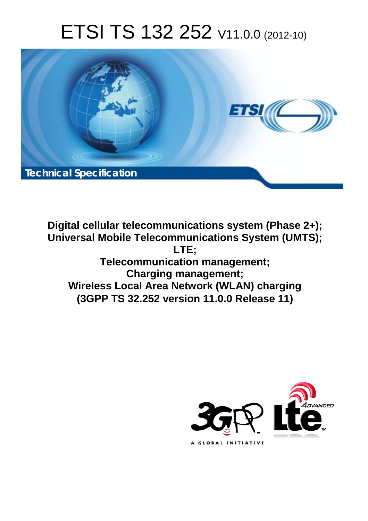# ETSI TS 132 252 V11.0.0 (2012-10)



**Digital cellular telecommunications system (Phase 2+); Universal Mobile Telecommunications System (UMTS); LTE; Telecommunication management; Charging management; Wireless Local Area Network (WLAN) charging (3GPP TS 32.252 version 11.0.0 Release 11)** 

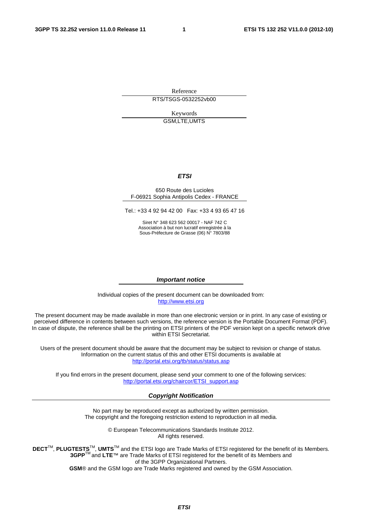Reference RTS/TSGS-0532252vb00

> Keywords GSM,LTE,UMTS

#### *ETSI*

#### 650 Route des Lucioles F-06921 Sophia Antipolis Cedex - FRANCE

Tel.: +33 4 92 94 42 00 Fax: +33 4 93 65 47 16

Siret N° 348 623 562 00017 - NAF 742 C Association à but non lucratif enregistrée à la Sous-Préfecture de Grasse (06) N° 7803/88

#### *Important notice*

Individual copies of the present document can be downloaded from: [http://www.etsi.org](http://www.etsi.org/)

The present document may be made available in more than one electronic version or in print. In any case of existing or perceived difference in contents between such versions, the reference version is the Portable Document Format (PDF). In case of dispute, the reference shall be the printing on ETSI printers of the PDF version kept on a specific network drive within ETSI Secretariat.

Users of the present document should be aware that the document may be subject to revision or change of status. Information on the current status of this and other ETSI documents is available at <http://portal.etsi.org/tb/status/status.asp>

If you find errors in the present document, please send your comment to one of the following services: [http://portal.etsi.org/chaircor/ETSI\\_support.asp](http://portal.etsi.org/chaircor/ETSI_support.asp)

#### *Copyright Notification*

No part may be reproduced except as authorized by written permission. The copyright and the foregoing restriction extend to reproduction in all media.

> © European Telecommunications Standards Institute 2012. All rights reserved.

DECT<sup>™</sup>, PLUGTESTS<sup>™</sup>, UMTS<sup>™</sup> and the ETSI logo are Trade Marks of ETSI registered for the benefit of its Members. **3GPP**TM and **LTE**™ are Trade Marks of ETSI registered for the benefit of its Members and of the 3GPP Organizational Partners.

**GSM**® and the GSM logo are Trade Marks registered and owned by the GSM Association.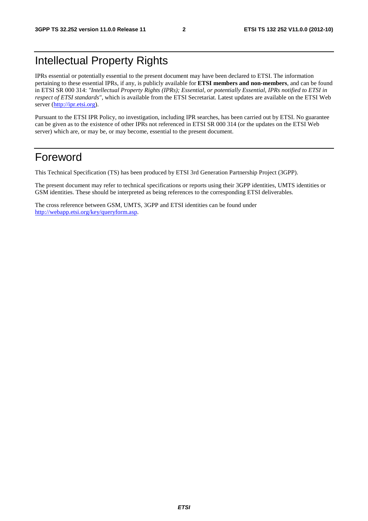# Intellectual Property Rights

IPRs essential or potentially essential to the present document may have been declared to ETSI. The information pertaining to these essential IPRs, if any, is publicly available for **ETSI members and non-members**, and can be found in ETSI SR 000 314: *"Intellectual Property Rights (IPRs); Essential, or potentially Essential, IPRs notified to ETSI in respect of ETSI standards"*, which is available from the ETSI Secretariat. Latest updates are available on the ETSI Web server [\(http://ipr.etsi.org](http://webapp.etsi.org/IPR/home.asp)).

Pursuant to the ETSI IPR Policy, no investigation, including IPR searches, has been carried out by ETSI. No guarantee can be given as to the existence of other IPRs not referenced in ETSI SR 000 314 (or the updates on the ETSI Web server) which are, or may be, or may become, essential to the present document.

# Foreword

This Technical Specification (TS) has been produced by ETSI 3rd Generation Partnership Project (3GPP).

The present document may refer to technical specifications or reports using their 3GPP identities, UMTS identities or GSM identities. These should be interpreted as being references to the corresponding ETSI deliverables.

The cross reference between GSM, UMTS, 3GPP and ETSI identities can be found under <http://webapp.etsi.org/key/queryform.asp>.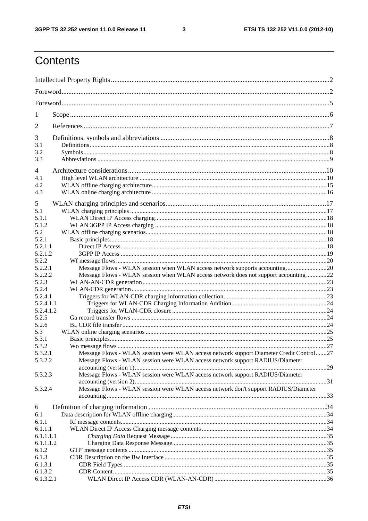$\mathbf{3}$ 

# Contents

| 1                    |                                                                                         |  |  |
|----------------------|-----------------------------------------------------------------------------------------|--|--|
| 2                    |                                                                                         |  |  |
| 3                    |                                                                                         |  |  |
| 3.1                  |                                                                                         |  |  |
| 3.2<br>3.3           |                                                                                         |  |  |
| 4                    |                                                                                         |  |  |
| 4.1                  |                                                                                         |  |  |
| 4.2                  |                                                                                         |  |  |
| 4.3                  |                                                                                         |  |  |
| 5                    |                                                                                         |  |  |
| 5.1                  |                                                                                         |  |  |
| 5.1.1                |                                                                                         |  |  |
| 5.1.2                |                                                                                         |  |  |
| 5.2                  |                                                                                         |  |  |
| 5.2.1                |                                                                                         |  |  |
| 5.2.1.1              |                                                                                         |  |  |
| 5.2.1.2              |                                                                                         |  |  |
| 5.2.2                |                                                                                         |  |  |
| 5.2.2.1              | Message Flows - WLAN session when WLAN access network supports accounting20             |  |  |
| 5.2.2.2              | Message Flows - WLAN session when WLAN access network does not support accounting22     |  |  |
| 5.2.3                |                                                                                         |  |  |
| 5.2.4                |                                                                                         |  |  |
| 5.2.4.1<br>5.2.4.1.1 |                                                                                         |  |  |
| 5.2.4.1.2            |                                                                                         |  |  |
| 5.2.5                |                                                                                         |  |  |
| 5.2.6                |                                                                                         |  |  |
| 5.3                  |                                                                                         |  |  |
| 5.3.1                |                                                                                         |  |  |
| 5.3.2                |                                                                                         |  |  |
| 5.3.2.1              | Message Flows - WLAN session were WLAN access network support Diameter Credit Control27 |  |  |
| 5.3.2.2              | Message Flows - WLAN session were WLAN access network support RADIUS/Diameter           |  |  |
|                      |                                                                                         |  |  |
| 5.3.2.3              | Message Flows - WLAN session were WLAN access network support RADIUS/Diameter           |  |  |
|                      |                                                                                         |  |  |
| 5.3.2.4              | Message Flows - WLAN session were WLAN access network don't support RADIUS/Diameter     |  |  |
|                      |                                                                                         |  |  |
| 6                    |                                                                                         |  |  |
| 6.1                  |                                                                                         |  |  |
| 6.1.1                |                                                                                         |  |  |
| 6.1.1.1<br>6.1.1.1.1 |                                                                                         |  |  |
| 6.1.1.1.2            |                                                                                         |  |  |
| 6.1.2                |                                                                                         |  |  |
| 6.1.3                |                                                                                         |  |  |
| 6.1.3.1              |                                                                                         |  |  |
| 6.1.3.2              |                                                                                         |  |  |
| 6.1.3.2.1            |                                                                                         |  |  |
|                      |                                                                                         |  |  |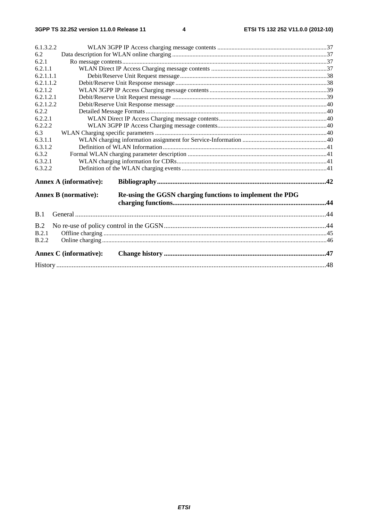| 6.1.3.2.2 |                               |                                                           |  |  |
|-----------|-------------------------------|-----------------------------------------------------------|--|--|
| 6.2       |                               |                                                           |  |  |
| 6.2.1     |                               |                                                           |  |  |
| 6.2.1.1   |                               |                                                           |  |  |
| 6.2.1.1.1 |                               |                                                           |  |  |
| 6.2.1.1.2 |                               |                                                           |  |  |
| 6.2.1.2   |                               |                                                           |  |  |
| 6.2.1.2.1 |                               |                                                           |  |  |
| 6.2.1.2.2 |                               |                                                           |  |  |
| 6.2.2     |                               |                                                           |  |  |
| 6.2.2.1   |                               |                                                           |  |  |
| 6.2.2.2   |                               |                                                           |  |  |
| 6.3       |                               |                                                           |  |  |
| 6.3.1.1   |                               |                                                           |  |  |
| 6.3.1.2   |                               |                                                           |  |  |
| 6.3.2     |                               |                                                           |  |  |
| 6.3.2.1   |                               |                                                           |  |  |
| 6.3.2.2   |                               |                                                           |  |  |
|           | <b>Annex A (informative):</b> |                                                           |  |  |
|           | <b>Annex B</b> (normative):   | Re-using the GGSN charging functions to implement the PDG |  |  |
| B.1       |                               |                                                           |  |  |
| B.2       |                               |                                                           |  |  |
| B.2.1     |                               |                                                           |  |  |
| B.2.2     |                               |                                                           |  |  |
|           | <b>Annex C</b> (informative): |                                                           |  |  |
|           |                               |                                                           |  |  |
|           |                               |                                                           |  |  |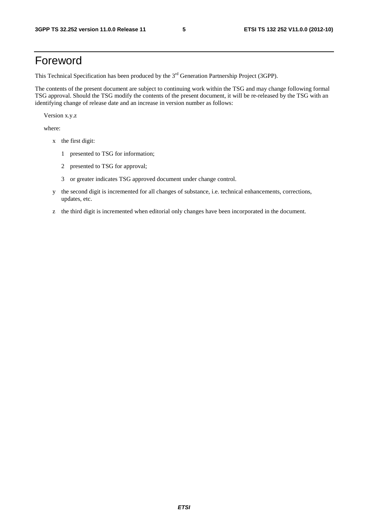# Foreword

This Technical Specification has been produced by the 3<sup>rd</sup> Generation Partnership Project (3GPP).

The contents of the present document are subject to continuing work within the TSG and may change following formal TSG approval. Should the TSG modify the contents of the present document, it will be re-released by the TSG with an identifying change of release date and an increase in version number as follows:

Version x.y.z

where:

- x the first digit:
	- 1 presented to TSG for information;
	- 2 presented to TSG for approval;
	- 3 or greater indicates TSG approved document under change control.
- y the second digit is incremented for all changes of substance, i.e. technical enhancements, corrections, updates, etc.
- z the third digit is incremented when editorial only changes have been incorporated in the document.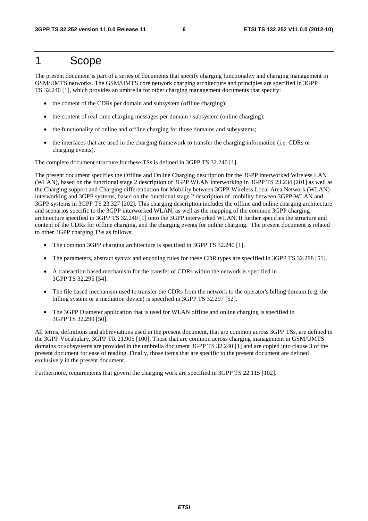# 1 Scope

The present document is part of a series of documents that specify charging functionality and charging management in GSM/UMTS networks. The GSM/UMTS core network charging architecture and principles are specified in 3GPP TS 32.240 [1], which provides an umbrella for other charging management documents that specify:

- the content of the CDRs per domain and subsystem (offline charging);
- the content of real-time charging messages per domain / subsystem (online charging);
- the functionality of online and offline charging for those domains and subsystems;
- the interfaces that are used in the charging framework to transfer the charging information (i.e. CDRs or charging events).

The complete document structure for these TSs is defined in 3GPP TS 32.240 [1].

The present document specifies the Offline and Online Charging description for the 3GPP interworked Wireless LAN (WLAN), based on the functional stage 2 description of 3GPP WLAN interworking in 3GPP TS 23.234 [201] as well as the Charging support and Charging differentiation for Mobility between 3GPP-Wireless Local Area Network (WLAN) interworking and 3GPP systems, based on the functional stage 2 description of mobility between 3GPP-WLAN and 3GPP systems in 3GPP TS 23.327 [202]. This charging description includes the offline and online charging architecture and scenarios specific to the 3GPP interworked WLAN, as well as the mapping of the common 3GPP charging architecture specified in 3GPP TS 32.240 [1] onto the 3GPP interworked WLAN. It further specifies the structure and content of the CDRs for offline charging, and the charging events for online charging. The present document is related to other 3GPP charging TSs as follows:

- The common 3GPP charging architecture is specified in 3GPP TS 32.240 [1].
- The parameters, abstract syntax and encoding rules for these CDR types are specified in 3GPP TS 32.298 [51].
- A transaction based mechanism for the transfer of CDRs within the network is specified in 3GPP TS 32.295 [54].
- The file based mechanism used to transfer the CDRs from the network to the operator's billing domain (e.g. the billing system or a mediation device) is specified in 3GPP TS 32.297 [52].
- The 3GPP Diameter application that is used for WLAN offline and online charging is specified in 3GPP TS 32.299 [50].

All terms, definitions and abbreviations used in the present document, that are common across 3GPP TSs, are defined in the 3GPP Vocabulary, 3GPP TR 21.905 [100]. Those that are common across charging management in GSM/UMTS domains or subsystems are provided in the umbrella document 3GPP TS 32.240 [1] and are copied into clause 3 of the present document for ease of reading. Finally, those items that are specific to the present document are defined exclusively in the present document.

Furthermore, requirements that govern the charging work are specified in 3GPP TS 22.115 [102].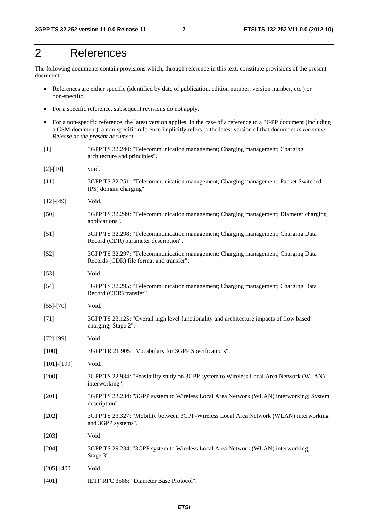# 2 References

The following documents contain provisions which, through reference in this text, constitute provisions of the present document.

- References are either specific (identified by date of publication, edition number, version number, etc.) or non-specific.
- For a specific reference, subsequent revisions do not apply.
- For a non-specific reference, the latest version applies. In the case of a reference to a 3GPP document (including a GSM document), a non-specific reference implicitly refers to the latest version of that document *in the same Release as the present document*.
- [1] 3GPP TS 32.240: "Telecommunication management; Charging management; Charging architecture and principles".
- [2]-[10] void.
- [11] 3GPP TS 32.251: "Telecommunication management; Charging management; Packet Switched (PS) domain charging".
- [12]-[49] Void.
- [50] 3GPP TS 32.299: "Telecommunication management; Charging management; Diameter charging applications".
- [51] 3GPP TS 32.298: "Telecommunication management; Charging management; Charging Data Record (CDR) parameter description".
- [52] 3GPP TS 32.297: "Telecommunication management; Charging management; Charging Data Records (CDR) file format and transfer".
- [53] Void
- [54] 3GPP TS 32.295: "Telecommunication management; Charging management; Charging Data Record (CDR) transfer".
- [55]-[70] Void.
- [71] 3GPP TS 23.125: "Overall high level functionality and architecture impacts of flow based charging; Stage 2".
- [72]-[99] Void.
- [100] 3GPP TR 21.905: "Vocabulary for 3GPP Specifications".
- [101]-[199] Void.
- [200] 3GPP TS 22.934: "Feasibility study on 3GPP system to Wireless Local Area Network (WLAN) interworking".
- [201] 3GPP TS 23.234: "3GPP system to Wireless Local Area Network (WLAN) interworking; System description".
- [202] 3GPP TS 23.327: "Mobility between 3GPP-Wireless Local Area Network (WLAN) interworking and 3GPP systems".
- [203] Void
- [204] 3GPP TS 29.234: "3GPP system to Wireless Local Area Network (WLAN) interworking; Stage 3".
- [205]-[400] Void.
- [401] IETF RFC 3588: "Diameter Base Protocol".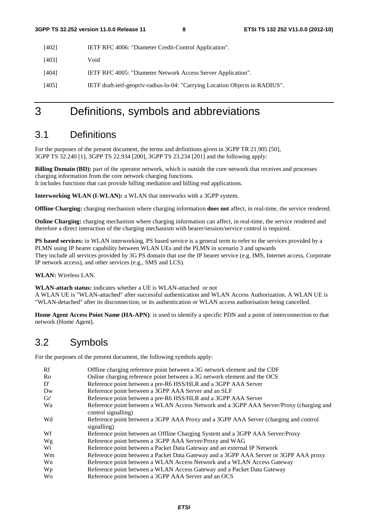| $[402]$ | IETF RFC 4006: "Diameter Credit-Control Application". |
|---------|-------------------------------------------------------|
|---------|-------------------------------------------------------|

[403] Void

[404] IETF RFC 4005: "Diameter Network Access Server Application".

[405] IETF draft-ietf-geopriv-radius-lo-04: "Carrying Location Objects in RADIUS".

# 3 Definitions, symbols and abbreviations

# 3.1 Definitions

For the purposes of the present document, the terms and definitions given in 3GPP TR 21.905 [50], 3GPP TS 32.240 [1], 3GPP TS 22.934 [200], 3GPP TS 23.234 [201] and the following apply:

**Billing Domain (BD):** part of the operator network, which is outside the core network that receives and processes charging information from the core network charging functions. It includes functions that can provide billing mediation and billing end applications.

**Interworking WLAN (I-WLAN):** a WLAN that interworks with a 3GPP system.

**Offline Charging:** charging mechanism where charging information **does not** affect, in real-time, the service rendered.

**Online Charging:** charging mechanism where charging information can affect, in real-time, the service rendered and therefore a direct interaction of the charging mechanism with bearer/session/service control is required.

**PS based services:** in WLAN interworking, PS based service is a general term to refer to the services provided by a PLMN using IP bearer capability between WLAN UEs and the PLMN in scenario 3 and upwards They include all services provided by 3G PS domain that use the IP bearer service (e.g. IMS, Internet access, Corporate IP network access), and other services (e.g., SMS and LCS).

**WLAN:** Wireless LAN.

**WLAN-attach status:** indicates whether a UE is WLAN-attached or not

A WLAN UE is "WLAN-attached" after successful authentication and WLAN Access Authorization. A WLAN UE is "WLAN-detached" after its disconnection, or its authentication or WLAN access authorisation being cancelled.

**Home Agent Access Point Name (HA-APN)**: is used to identify a specific PDN and a point of interconnection to that network (Home Agent).

# 3.2 Symbols

For the purposes of the present document, the following symbols apply:

| Rf        | Offline charging reference point between a 3G network element and the CDF                                      |
|-----------|----------------------------------------------------------------------------------------------------------------|
| Ro        | Online charging reference point between a 3G network element and the OCS                                       |
| D'        | Reference point between a pre-R6 HSS/HLR and a 3GPP AAA Server                                                 |
| Dw        | Reference point between a 3GPP AAA Server and an SLF                                                           |
| Gr'       | Reference point between a pre-R6 HSS/HLR and a 3GPP AAA Server                                                 |
| Wa        | Reference point between a WLAN Access Network and a 3GPP AAA Server/Proxy (charging and<br>control signalling) |
| Wd        | Reference point between a 3GPP AAA Proxy and a 3GPP AAA Server (charging and control<br>signalling)            |
| Wf        | Reference point between an Offline Charging System and a 3GPP AAA Server/Proxy                                 |
| Wg        | Reference point between a 3GPP AAA Server/Proxy and WAG                                                        |
| Wi        | Reference point between a Packet Data Gateway and an external IP Network                                       |
| Wm        | Reference point between a Packet Data Gateway and a 3GPP AAA Server or 3GPP AAA proxy                          |
| Wn        | Reference point between a WLAN Access Network and a WLAN Access Gateway                                        |
| Wp        | Reference point between a WLAN Access Gateway and a Packet Data Gateway                                        |
| <b>Wo</b> | Reference point between a 3GPP AAA Server and an OCS                                                           |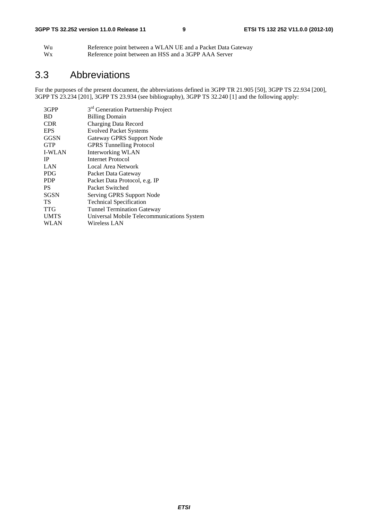| Wu | Reference point between a WLAN UE and a Packet Data Gateway |
|----|-------------------------------------------------------------|
| Wx | Reference point between an HSS and a 3GPP AAA Server        |

# 3.3 Abbreviations

For the purposes of the present document, the abbreviations defined in 3GPP TR 21.905 [50], 3GPP TS 22.934 [200], 3GPP TS 23.234 [201], 3GPP TS 23.934 (see bibliography), 3GPP TS 32.240 [1] and the following apply:

| 3GPP          | 3 <sup>rd</sup> Generation Partnership Project |
|---------------|------------------------------------------------|
| <b>BD</b>     | <b>Billing Domain</b>                          |
| <b>CDR</b>    | Charging Data Record                           |
| <b>EPS</b>    | <b>Evolved Packet Systems</b>                  |
| GGSN          | Gateway GPRS Support Node                      |
| <b>GTP</b>    | <b>GPRS</b> Tunnelling Protocol                |
| <b>I-WLAN</b> | Interworking WLAN                              |
| <b>IP</b>     | Internet Protocol                              |
| LAN           | Local Area Network                             |
| <b>PDG</b>    | Packet Data Gateway                            |
| <b>PDP</b>    | Packet Data Protocol, e.g. IP                  |
| <b>PS</b>     | Packet Switched                                |
| <b>SGSN</b>   | Serving GPRS Support Node                      |
| TS            | <b>Technical Specification</b>                 |
| <b>TTG</b>    | <b>Tunnel Termination Gateway</b>              |
| <b>UMTS</b>   | Universal Mobile Telecommunications System     |
| WLAN          | Wireless LAN                                   |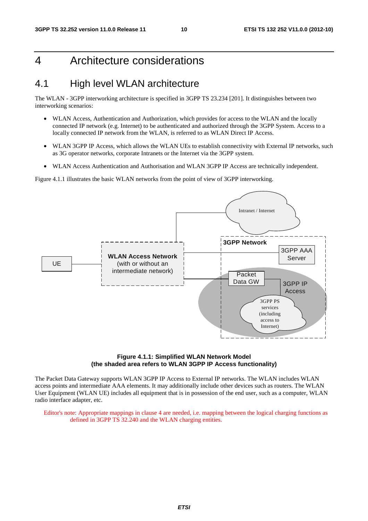# 4 Architecture considerations

# 4.1 High level WLAN architecture

The WLAN - 3GPP interworking architecture is specified in 3GPP TS 23.234 [201]. It distinguishes between two interworking scenarios:

- WLAN Access, Authentication and Authorization, which provides for access to the WLAN and the locally connected IP network (e.g. Internet) to be authenticated and authorized through the 3GPP System. Access to a locally connected IP network from the WLAN, is referred to as WLAN Direct IP Access.
- WLAN 3GPP IP Access, which allows the WLAN UEs to establish connectivity with External IP networks, such as 3G operator networks, corporate Intranets or the Internet via the 3GPP system.
- WLAN Access Authentication and Authorisation and WLAN 3GPP IP Access are technically independent.

Figure 4.1.1 illustrates the basic WLAN networks from the point of view of 3GPP interworking.



#### **Figure 4.1.1: Simplified WLAN Network Model (the shaded area refers to WLAN 3GPP IP Access functionality)**

The Packet Data Gateway supports WLAN 3GPP IP Access to External IP networks. The WLAN includes WLAN access points and intermediate AAA elements. It may additionally include other devices such as routers. The WLAN User Equipment (WLAN UE) includes all equipment that is in possession of the end user, such as a computer, WLAN radio interface adapter, etc.

Editor's note: Appropriate mappings in clause 4 are needed, i.e. mapping between the logical charging functions as defined in 3GPP TS 32.240 and the WLAN charging entities.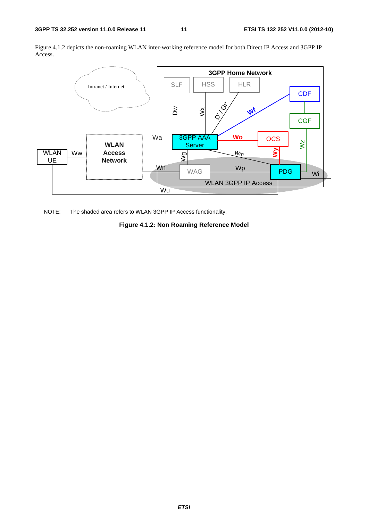Figure 4.1.2 depicts the non-roaming WLAN inter-working reference model for both Direct IP Access and 3GPP IP Access.



NOTE: The shaded area refers to WLAN 3GPP IP Access functionality.

**Figure 4.1.2: Non Roaming Reference Model**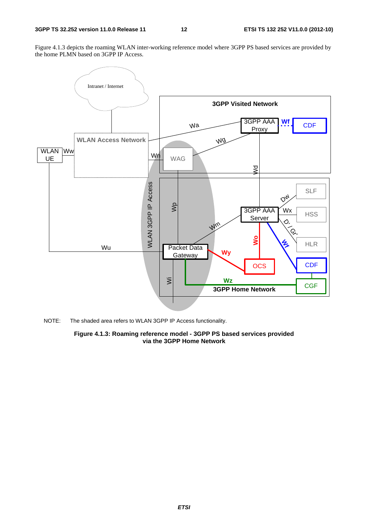Figure 4.1.3 depicts the roaming WLAN inter-working reference model where 3GPP PS based services are provided by the home PLMN based on 3GPP IP Access.



NOTE: The shaded area refers to WLAN 3GPP IP Access functionality.

**Figure 4.1.3: Roaming reference model - 3GPP PS based services provided via the 3GPP Home Network**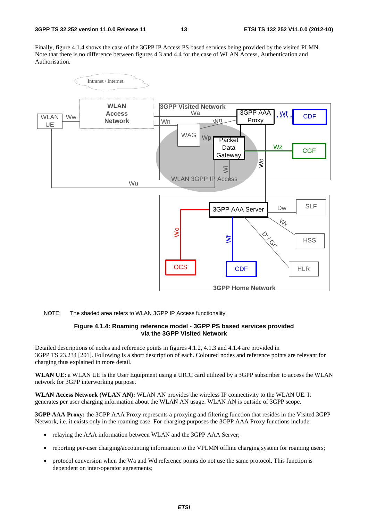Finally, figure 4.1.4 shows the case of the 3GPP IP Access PS based services being provided by the visited PLMN. Note that there is no difference between figures 4.3 and 4.4 for the case of WLAN Access, Authentication and Authorisation.



NOTE: The shaded area refers to WLAN 3GPP IP Access functionality.

#### **Figure 4.1.4: Roaming reference model - 3GPP PS based services provided via the 3GPP Visited Network**

Detailed descriptions of nodes and reference points in figures 4.1.2, 4.1.3 and 4.1.4 are provided in 3GPP TS 23.234 [201]. Following is a short description of each. Coloured nodes and reference points are relevant for charging thus explained in more detail.

**WLAN UE:** a WLAN UE is the User Equipment using a UICC card utilized by a 3GPP subscriber to access the WLAN network for 3GPP interworking purpose.

**WLAN Access Network (WLAN AN):** WLAN AN provides the wireless IP connectivity to the WLAN UE. It generates per user charging information about the WLAN AN usage. WLAN AN is outside of 3GPP scope.

**3GPP AAA Proxy:** the 3GPP AAA Proxy represents a proxying and filtering function that resides in the Visited 3GPP Network, i.e. it exists only in the roaming case. For charging purposes the 3GPP AAA Proxy functions include:

- relaying the AAA information between WLAN and the 3GPP AAA Server;
- reporting per-user charging/accounting information to the VPLMN offline charging system for roaming users;
- protocol conversion when the Wa and Wd reference points do not use the same protocol. This function is dependent on inter-operator agreements;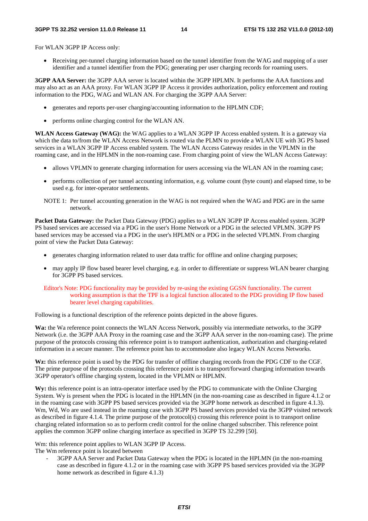For WLAN 3GPP IP Access only:

• Receiving per-tunnel charging information based on the tunnel identifier from the WAG and mapping of a user identifier and a tunnel identifier from the PDG; generating per user charging records for roaming users.

**3GPP AAA Server:** the 3GPP AAA server is located within the 3GPP HPLMN. It performs the AAA functions and may also act as an AAA proxy. For WLAN 3GPP IP Access it provides authorization, policy enforcement and routing information to the PDG, WAG and WLAN AN. For charging the 3GPP AAA Server:

- generates and reports per-user charging/accounting information to the HPLMN CDF;
- performs online charging control for the WLAN AN.

**WLAN Access Gateway (WAG):** the WAG applies to a WLAN 3GPP IP Access enabled system. It is a gateway via which the data to/from the WLAN Access Network is routed via the PLMN to provide a WLAN UE with 3G PS based services in a WLAN 3GPP IP Access enabled system. The WLAN Access Gateway resides in the VPLMN in the roaming case, and in the HPLMN in the non-roaming case. From charging point of view the WLAN Access Gateway:

- allows VPLMN to generate charging information for users accessing via the WLAN AN in the roaming case;
- performs collection of per tunnel accounting information, e.g. volume count (byte count) and elapsed time, to be used e.g. for inter-operator settlements.
- NOTE 1: Per tunnel accounting generation in the WAG is not required when the WAG and PDG are in the same network.

**Packet Data Gateway:** the Packet Data Gateway (PDG) applies to a WLAN 3GPP IP Access enabled system. 3GPP PS based services are accessed via a PDG in the user's Home Network or a PDG in the selected VPLMN. 3GPP PS based services may be accessed via a PDG in the user's HPLMN or a PDG in the selected VPLMN. From charging point of view the Packet Data Gateway:

- generates charging information related to user data traffic for offline and online charging purposes;
- may apply IP flow based bearer level charging, e.g. in order to differentiate or suppress WLAN bearer charging for 3GPP PS based services.
- Editor's Note: PDG functionality may be provided by re-using the existing GGSN functionality. The current working assumption is that the TPF is a logical function allocated to the PDG providing IP flow based bearer level charging capabilities.

Following is a functional description of the reference points depicted in the above figures.

**Wa:** the Wa reference point connects the WLAN Access Network, possibly via intermediate networks, to the 3GPP Network (i.e. the 3GPP AAA Proxy in the roaming case and the 3GPP AAA server in the non-roaming case). The prime purpose of the protocols crossing this reference point is to transport authentication, authorization and charging-related information in a secure manner. The reference point has to accommodate also legacy WLAN Access Networks.

**Wz:** this reference point is used by the PDG for transfer of offline charging records from the PDG CDF to the CGF. The prime purpose of the protocols crossing this reference point is to transport/forward charging information towards 3GPP operator's offline charging system, located in the VPLMN or HPLMN.

**Wy:** this reference point is an intra-operator interface used by the PDG to communicate with the Online Charging System. Wy is present when the PDG is located in the HPLMN (in the non-roaming case as described in figure 4.1.2 or in the roaming case with 3GPP PS based services provided via the 3GPP home network as described in figure 4.1.3). Wm, Wd, Wo are used instead in the roaming case with 3GPP PS based services provided via the 3GPP visited network as described in figure 4.1.4. The prime purpose of the protocol(s) crossing this reference point is to transport online charging related information so as to perform credit control for the online charged subscriber. This reference point applies the common 3GPP online charging interface as specified in 3GPP TS 32.299 [50].

Wm: this reference point applies to WLAN 3GPP IP Access.

The Wm reference point is located between

3GPP AAA Server and Packet Data Gateway when the PDG is located in the HPLMN (in the non-roaming case as described in figure 4.1.2 or in the roaming case with 3GPP PS based services provided via the 3GPP home network as described in figure 4.1.3)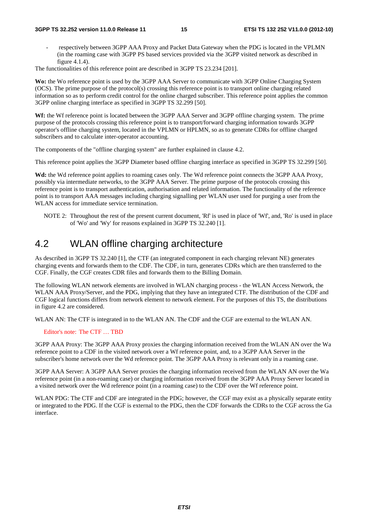#### **3GPP TS 32.252 version 11.0.0 Release 11 15 ETSI TS 132 252 V11.0.0 (2012-10)**

- respectively between 3GPP AAA Proxy and Packet Data Gateway when the PDG is located in the VPLMN (in the roaming case with 3GPP PS based services provided via the 3GPP visited network as described in figure 4.1.4).

The functionalities of this reference point are described in 3GPP TS 23.234 [201].

**Wo:** the Wo reference point is used by the 3GPP AAA Server to communicate with 3GPP Online Charging System (OCS). The prime purpose of the protocol(s) crossing this reference point is to transport online charging related information so as to perform credit control for the online charged subscriber. This reference point applies the common 3GPP online charging interface as specified in 3GPP TS 32.299 [50].

**Wf:** the Wf reference point is located between the 3GPP AAA Server and 3GPP offline charging system. The prime purpose of the protocols crossing this reference point is to transport/forward charging information towards 3GPP operator's offline charging system, located in the VPLMN or HPLMN, so as to generate CDRs for offline charged subscribers and to calculate inter-operator accounting.

The components of the "offline charging system" are further explained in clause 4.2.

This reference point applies the 3GPP Diameter based offline charging interface as specified in 3GPP TS 32.299 [50].

**Wd:** the Wd reference point applies to roaming cases only. The Wd reference point connects the 3GPP AAA Proxy, possibly via intermediate networks, to the 3GPP AAA Server. The prime purpose of the protocols crossing this reference point is to transport authentication, authorisation and related information. The functionality of the reference point is to transport AAA messages including charging signalling per WLAN user used for purging a user from the WLAN access for immediate service termination.

NOTE 2: Throughout the rest of the present current document, 'Rf' is used in place of 'Wf', and, 'Ro' is used in place of 'Wo' and 'Wy' for reasons explained in 3GPP TS 32.240 [1].

# 4.2 WLAN offline charging architecture

As described in 3GPP TS 32.240 [1], the CTF (an integrated component in each charging relevant NE) generates charging events and forwards them to the CDF. The CDF, in turn, generates CDRs which are then transferred to the CGF. Finally, the CGF creates CDR files and forwards them to the Billing Domain.

The following WLAN network elements are involved in WLAN charging process - the WLAN Access Network, the WLAN AAA Proxy/Server, and the PDG, implying that they have an integrated CTF. The distribution of the CDF and CGF logical functions differs from network element to network element. For the purposes of this TS, the distributions in figure 4.2 are considered.

WLAN AN: The CTF is integrated in to the WLAN AN. The CDF and the CGF are external to the WLAN AN.

### Editor's note: The CTF … TBD

3GPP AAA Proxy: The 3GPP AAA Proxy proxies the charging information received from the WLAN AN over the Wa reference point to a CDF in the visited network over a Wf reference point, and, to a 3GPP AAA Server in the subscriber's home network over the Wd reference point. The 3GPP AAA Proxy is relevant only in a roaming case.

3GPP AAA Server: A 3GPP AAA Server proxies the charging information received from the WLAN AN over the Wa reference point (in a non-roaming case) or charging information received from the 3GPP AAA Proxy Server located in a visited network over the Wd reference point (in a roaming case) to the CDF over the Wf reference point.

WLAN PDG: The CTF and CDF are integrated in the PDG; however, the CGF may exist as a physically separate entity or integrated to the PDG. If the CGF is external to the PDG, then the CDF forwards the CDRs to the CGF across the Ga interface.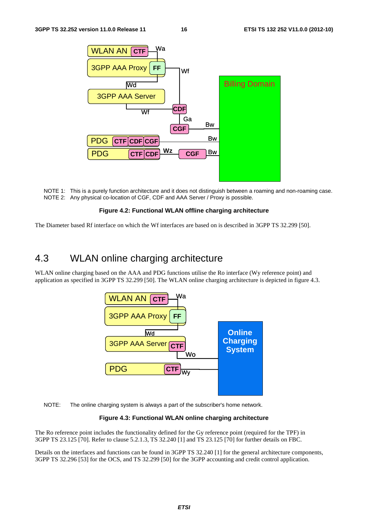

NOTE 1: This is a purely function architecture and it does not distinguish between a roaming and non-roaming case. NOTE 2: Any physical co-location of CGF, CDF and AAA Server / Proxy is possible.

#### **Figure 4.2: Functional WLAN offline charging architecture**

The Diameter based Rf interface on which the Wf interfaces are based on is described in 3GPP TS 32.299 [50].

# 4.3 WLAN online charging architecture

WLAN online charging based on the AAA and PDG functions utilise the Ro interface (Wy reference point) and application as specified in 3GPP TS 32.299 [50]. The WLAN online charging architecture is depicted in figure 4.3.



NOTE: The online charging system is always a part of the subscriber's home network.

#### **Figure 4.3: Functional WLAN online charging architecture**

The Ro reference point includes the functionality defined for the Gy reference point (required for the TPF) in 3GPP TS 23.125 [70]. Refer to clause 5.2.1.3, TS 32.240 [1] and TS 23.125 [70] for further details on FBC.

Details on the interfaces and functions can be found in 3GPP TS 32.240 [1] for the general architecture components, 3GPP TS 32.296 [53] for the OCS, and TS 32.299 [50] for the 3GPP accounting and credit control application.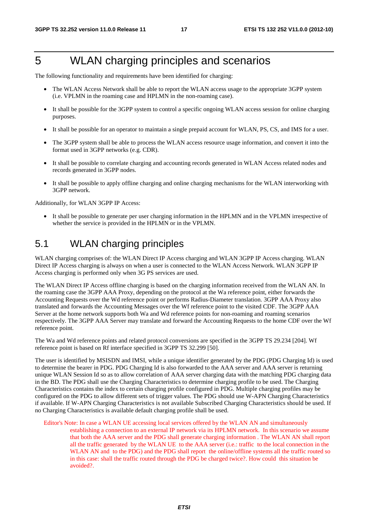# 5 WLAN charging principles and scenarios

The following functionality and requirements have been identified for charging:

- The WLAN Access Network shall be able to report the WLAN access usage to the appropriate 3GPP system (i.e. VPLMN in the roaming case and HPLMN in the non-roaming case).
- It shall be possible for the 3GPP system to control a specific ongoing WLAN access session for online charging purposes.
- It shall be possible for an operator to maintain a single prepaid account for WLAN, PS, CS, and IMS for a user.
- The 3GPP system shall be able to process the WLAN access resource usage information, and convert it into the format used in 3GPP networks (e.g. CDR).
- It shall be possible to correlate charging and accounting records generated in WLAN Access related nodes and records generated in 3GPP nodes.
- It shall be possible to apply offline charging and online charging mechanisms for the WLAN interworking with 3GPP network.

Additionally, for WLAN 3GPP IP Access:

It shall be possible to generate per user charging information in the HPLMN and in the VPLMN irrespective of whether the service is provided in the HPLMN or in the VPLMN.

# 5.1 WLAN charging principles

WLAN charging comprises of: the WLAN Direct IP Access charging and WLAN 3GPP IP Access charging. WLAN Direct IP Access charging is always on when a user is connected to the WLAN Access Network. WLAN 3GPP IP Access charging is performed only when 3G PS services are used.

The WLAN Direct IP Access offline charging is based on the charging information received from the WLAN AN. In the roaming case the 3GPP AAA Proxy, depending on the protocol at the Wa reference point, either forwards the Accounting Requests over the Wd reference point or performs Radius-Diameter translation. 3GPP AAA Proxy also translated and forwards the Accounting Messages over the Wf reference point to the visited CDF. The 3GPP AAA Server at the home network supports both Wa and Wd reference points for non-roaming and roaming scenarios respectively. The 3GPP AAA Server may translate and forward the Accounting Requests to the home CDF over the Wf reference point.

The Wa and Wd reference points and related protocol conversions are specified in the 3GPP TS 29.234 [204]. Wf reference point is based on Rf interface specified in 3GPP TS 32.299 [50].

The user is identified by MSISDN and IMSI, while a unique identifier generated by the PDG (PDG Charging Id) is used to determine the bearer in PDG. PDG Charging Id is also forwarded to the AAA server and AAA server is returning unique WLAN Session Id so as to allow correlation of AAA server charging data with the matching PDG charging data in the BD. The PDG shall use the Charging Characteristics to determine charging profile to be used. The Charging Characteristics contains the index to certain charging profile configured in PDG. Multiple charging profiles may be configured on the PDG to allow different sets of trigger values. The PDG should use W-APN Charging Characteristics if available. If W-APN Charging Characteristics is not available Subscribed Charging Characteristics should be used. If no Charging Characteristics is available default charging profile shall be used.

Editor's Note: In case a WLAN UE accessing local services offered by the WLAN AN and simultaneously establishing a connection to an external IP network via its HPLMN network. In this scenario we assume that both the AAA server and the PDG shall generate charging information . The WLAN AN shall report all the traffic generated by the WLAN UE to the AAA server (i.e.: traffic to the local connection in the WLAN AN and to the PDG) and the PDG shall report the online/offline systems all the traffic routed so in this case: shall the traffic routed through the PDG be charged twice?. How could this situation be avoided?.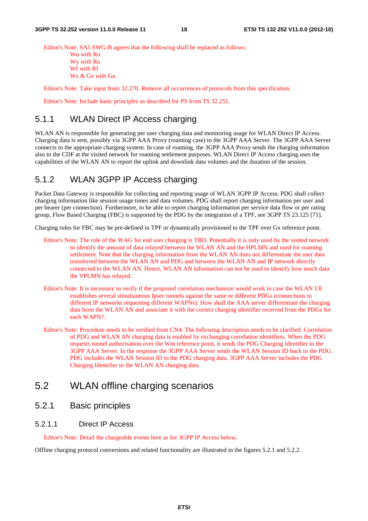Editor's Note: SA5 SWG-B agrees that the following shall be replaced as follows:

Wo with Ro Wy with Ro Wf with Rf Wz & Gz with Ga

Editor's Note: Take input from 32.270. Remove all occurrences of protocols from this specification.

Editor's Note: Include basic principles as described for PS from TS 32.251.

# 5.1.1 WLAN Direct IP Access charging

WLAN AN is responsible for generating per user charging data and monitoring usage for WLAN Direct IP Access. Charging data is sent, possibly via 3GPP AAA Proxy (roaming case) to the 3GPP AAA Server. The 3GPP AAA Server connects to the appropriate charging system. In case of roaming, the 3GPP AAA Proxy sends the charging information also to the CDF at the visited network for roaming settlement purposes. WLAN Direct IP Access charging uses the capabilities of the WLAN AN to report the uplink and downlink data volumes and the duration of the session.

### 5.1.2 WLAN 3GPP IP Access charging

Packet Data Gateway is responsible for collecting and reporting usage of WLAN 3GPP IP Access. PDG shall collect charging information like session usage times and data volumes. PDG shall report charging information per user and per bearer (per connection). Furthermore, to be able to report charging information per service data flow or per rating group, Flow Based Charging (FBC) is supported by the PDG by the integration of a TPF, see 3GPP TS 23.125 [71].

Charging rules for FBC may be pre-defined in TPF or dynamically provisioned to the TPF over Gx reference point.

- Editor's Note: The role of the WAG for end user charging is TBD. Potentially it is only used by the visited network to identify the amount of data relayed between the WLAN AN and the HPLMN and used for roaming settlement. Note that the charging information from the WLAN AN does not differentiate the user data transferred between the WLAN AN and PDG and between the WLAN AN and IP network directly connected to the WLAN AN. Hence, WLAN AN information can not be used to identify how much data the VPLMN has relayed.
- Editor's Note: It is necessary to verify if the proposed correlation mechanism would work in case the WLAN UE establishes several simultaneous Ipsec tunnels against the same or different PDGs (connections to different IP networks requesting different WAPNs): How shall the AAA server differentiate the charging data from the WLAN AN and associate it with the correct charging identifier received from the PDGs for each WAPN?.
- Editor's Note: Procedure needs to be verified from CN4. The following description needs to be clarified: Correlation of PDG and WLAN AN charging data is enabled by exchanging correlation identifiers. When the PDG requests tunnel authorisation over the Wm reference point, it sends the PDG Charging Identifier to the 3GPP AAA Server. In the response the 3GPP AAA Server sends the WLAN Session ID back to the PDG. PDG includes the WLAN Session ID to the PDG charging data. 3GPP AAA Server includes the PDG Charging Identifier to the WLAN AN charging data.

# 5.2 WLAN offline charging scenarios

### 5.2.1 Basic principles

#### 5.2.1.1 Direct IP Access

Editor's Note: Detail the chargeable events here as for 3GPP IP Access below.

Offline charging protocol conversions and related functionality are illustrated in the figures 5.2.1 and 5.2.2.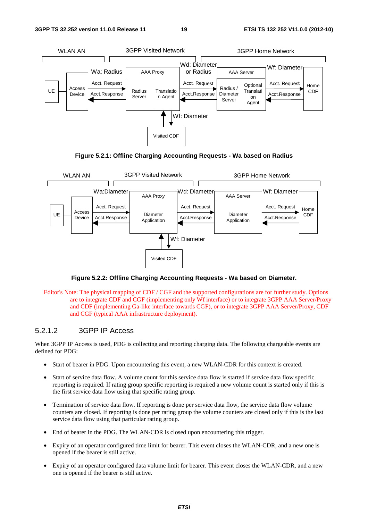





**Figure 5.2.2: Offline Charging Accounting Requests - Wa based on Diameter.** 

Editor's Note: The physical mapping of CDF / CGF and the supported configurations are for further study. Options are to integrate CDF and CGF (implementing only Wf interface) or to integrate 3GPP AAA Server/Proxy and CDF (implementing Ga-like interface towards CGF), or to integrate 3GPP AAA Server/Proxy, CDF and CGF (typical AAA infrastructure deployment).

#### 5.2.1.2 3GPP IP Access

When 3GPP IP Access is used, PDG is collecting and reporting charging data. The following chargeable events are defined for PDG:

- Start of bearer in PDG. Upon encountering this event, a new WLAN-CDR for this context is created.
- Start of service data flow. A volume count for this service data flow is started if service data flow specific reporting is required. If rating group specific reporting is required a new volume count is started only if this is the first service data flow using that specific rating group.
- Termination of service data flow. If reporting is done per service data flow, the service data flow volume counters are closed. If reporting is done per rating group the volume counters are closed only if this is the last service data flow using that particular rating group.
- End of bearer in the PDG. The WLAN-CDR is closed upon encountering this trigger.
- Expiry of an operator configured time limit for bearer. This event closes the WLAN-CDR, and a new one is opened if the bearer is still active.
- Expiry of an operator configured data volume limit for bearer. This event closes the WLAN-CDR, and a new one is opened if the bearer is still active.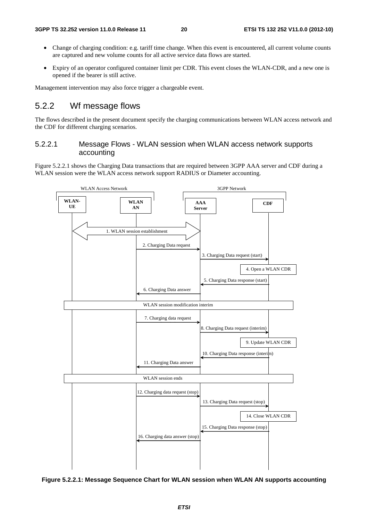- Change of charging condition: e.g. tariff time change. When this event is encountered, all current volume counts are captured and new volume counts for all active service data flows are started.
- Expiry of an operator configured container limit per CDR. This event closes the WLAN-CDR, and a new one is opened if the bearer is still active.

Management intervention may also force trigger a chargeable event.

### 5.2.2 Wf message flows

The flows described in the present document specify the charging communications between WLAN access network and the CDF for different charging scenarios.

#### 5.2.2.1 Message Flows - WLAN session when WLAN access network supports accounting

Figure 5.2.2.1 shows the Charging Data transactions that are required between 3GPP AAA server and CDF during a WLAN session were the WLAN access network support RADIUS or Diameter accounting.



**Figure 5.2.2.1: Message Sequence Chart for WLAN session when WLAN AN supports accounting**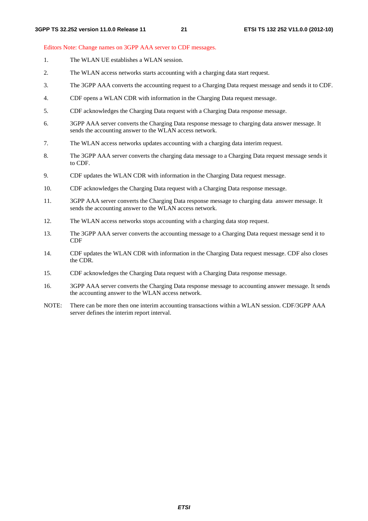#### Editors Note: Change names on 3GPP AAA server to CDF messages.

- 1. The WLAN UE establishes a WLAN session.
- 2. The WLAN access networks starts accounting with a charging data start request.
- 3. The 3GPP AAA converts the accounting request to a Charging Data request message and sends it to CDF.
- 4. CDF opens a WLAN CDR with information in the Charging Data request message.
- 5. CDF acknowledges the Charging Data request with a Charging Data response message.
- 6. 3GPP AAA server converts the Charging Data response message to charging data answer message. It sends the accounting answer to the WLAN access network.
- 7. The WLAN access networks updates accounting with a charging data interim request.
- 8. The 3GPP AAA server converts the charging data message to a Charging Data request message sends it to CDF.
- 9. CDF updates the WLAN CDR with information in the Charging Data request message.
- 10. CDF acknowledges the Charging Data request with a Charging Data response message.
- 11. 3GPP AAA server converts the Charging Data response message to charging data answer message. It sends the accounting answer to the WLAN access network.
- 12. The WLAN access networks stops accounting with a charging data stop request.
- 13. The 3GPP AAA server converts the accounting message to a Charging Data request message send it to CDF
- 14. CDF updates the WLAN CDR with information in the Charging Data request message. CDF also closes the CDR.
- 15. CDF acknowledges the Charging Data request with a Charging Data response message.
- 16. 3GPP AAA server converts the Charging Data response message to accounting answer message. It sends the accounting answer to the WLAN access network.
- NOTE: There can be more then one interim accounting transactions within a WLAN session. CDF/3GPP AAA server defines the interim report interval.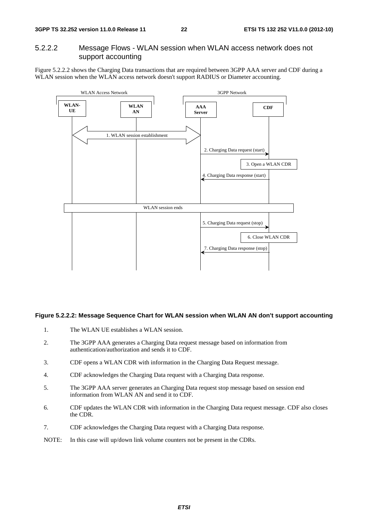### 5.2.2.2 Message Flows - WLAN session when WLAN access network does not support accounting

Figure 5.2.2.2 shows the Charging Data transactions that are required between 3GPP AAA server and CDF during a WLAN session when the WLAN access network doesn't support RADIUS or Diameter accounting.



#### **Figure 5.2.2.2: Message Sequence Chart for WLAN session when WLAN AN don't support accounting**

- 1. The WLAN UE establishes a WLAN session.
- 2. The 3GPP AAA generates a Charging Data request message based on information from authentication/authorization and sends it to CDF.
- 3. CDF opens a WLAN CDR with information in the Charging Data Request message.
- 4. CDF acknowledges the Charging Data request with a Charging Data response.
- 5. The 3GPP AAA server generates an Charging Data request stop message based on session end information from WLAN AN and send it to CDF.
- 6. CDF updates the WLAN CDR with information in the Charging Data request message. CDF also closes the CDR.
- 7. CDF acknowledges the Charging Data request with a Charging Data response.
- NOTE: In this case will up/down link volume counters not be present in the CDRs.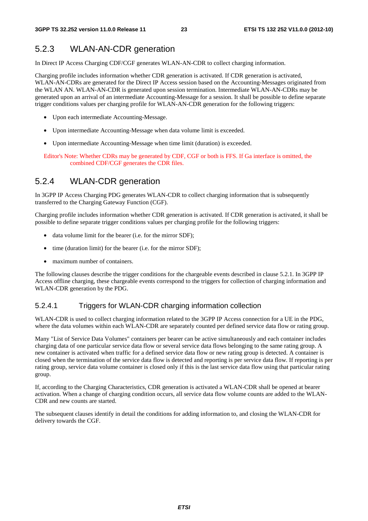# 5.2.3 WLAN-AN-CDR generation

In Direct IP Access Charging CDF/CGF generates WLAN-AN-CDR to collect charging information.

Charging profile includes information whether CDR generation is activated. If CDR generation is activated, WLAN-AN-CDRs are generated for the Direct IP Access session based on the Accounting-Messages originated from the WLAN AN. WLAN-AN-CDR is generated upon session termination. Intermediate WLAN-AN-CDRs may be generated upon an arrival of an intermediate Accounting-Message for a session. It shall be possible to define separate trigger conditions values per charging profile for WLAN-AN-CDR generation for the following triggers:

- Upon each intermediate Accounting-Message.
- Upon intermediate Accounting-Message when data volume limit is exceeded.
- Upon intermediate Accounting-Message when time limit (duration) is exceeded.

Editor's Note: Whether CDRs may be generated by CDF, CGF or both is FFS. If Ga interface is omitted, the combined CDF/CGF generates the CDR files.

### 5.2.4 WLAN-CDR generation

In 3GPP IP Access Charging PDG generates WLAN-CDR to collect charging information that is subsequently transferred to the Charging Gateway Function (CGF).

Charging profile includes information whether CDR generation is activated. If CDR generation is activated, it shall be possible to define separate trigger conditions values per charging profile for the following triggers:

- data volume limit for the bearer (i.e. for the mirror SDF):
- time (duration limit) for the bearer (i.e. for the mirror SDF);
- maximum number of containers.

The following clauses describe the trigger conditions for the chargeable events described in clause 5.2.1. In 3GPP IP Access offline charging, these chargeable events correspond to the triggers for collection of charging information and WLAN-CDR generation by the PDG.

### 5.2.4.1 Triggers for WLAN-CDR charging information collection

WLAN-CDR is used to collect charging information related to the 3GPP IP Access connection for a UE in the PDG, where the data volumes within each WLAN-CDR are separately counted per defined service data flow or rating group.

Many "List of Service Data Volumes" containers per bearer can be active simultaneously and each container includes charging data of one particular service data flow or several service data flows belonging to the same rating group. A new container is activated when traffic for a defined service data flow or new rating group is detected. A container is closed when the termination of the service data flow is detected and reporting is per service data flow. If reporting is per rating group, service data volume container is closed only if this is the last service data flow using that particular rating group.

If, according to the Charging Characteristics, CDR generation is activated a WLAN-CDR shall be opened at bearer activation. When a change of charging condition occurs, all service data flow volume counts are added to the WLAN-CDR and new counts are started.

The subsequent clauses identify in detail the conditions for adding information to, and closing the WLAN-CDR for delivery towards the CGF.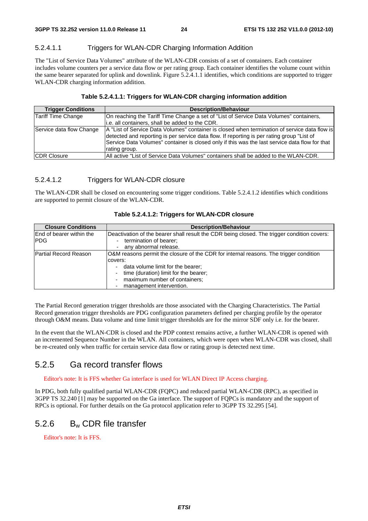### 5.2.4.1.1 Triggers for WLAN-CDR Charging Information Addition

The "List of Service Data Volumes" attribute of the WLAN-CDR consists of a set of containers. Each container includes volume counters per a service data flow or per rating group. Each container identifies the volume count within the same bearer separated for uplink and downlink. Figure 5.2.4.1.1 identifies, which conditions are supported to trigger WLAN-CDR charging information addition.

### **Table 5.2.4.1.1: Triggers for WLAN-CDR charging information addition**

| <b>Trigger Conditions</b> | <b>Description/Behaviour</b>                                                                                                                                                                                                                                                                                   |
|---------------------------|----------------------------------------------------------------------------------------------------------------------------------------------------------------------------------------------------------------------------------------------------------------------------------------------------------------|
| Tariff Time Change        | On reaching the Tariff Time Change a set of "List of Service Data Volumes" containers,                                                                                                                                                                                                                         |
|                           | i.e. all containers, shall be added to the CDR.                                                                                                                                                                                                                                                                |
| Service data flow Change  | A "List of Service Data Volumes" container is closed when termination of service data flow is<br>detected and reporting is per service data flow. If reporting is per rating group "List of<br>Service Data Volumes" container is closed only if this was the last service data flow for that<br>rating group. |
| <b>CDR Closure</b>        | All active "List of Service Data Volumes" containers shall be added to the WLAN-CDR.                                                                                                                                                                                                                           |

### 5.2.4.1.2 Triggers for WLAN-CDR closure

The WLAN-CDR shall be closed on encountering some trigger conditions. Table 5.2.4.1.2 identifies which conditions are supported to permit closure of the WLAN-CDR.

| <b>Closure Conditions</b>                      | <b>Description/Behaviour</b>                                                                                                                                                                                                                                                                                                                      |
|------------------------------------------------|---------------------------------------------------------------------------------------------------------------------------------------------------------------------------------------------------------------------------------------------------------------------------------------------------------------------------------------------------|
| <b>End of bearer within the</b><br><b>IPDG</b> | Deactivation of the bearer shall result the CDR being closed. The trigger condition covers:<br>termination of bearer;<br>any abnormal release.                                                                                                                                                                                                    |
| Partial Record Reason                          | O&M reasons permit the closure of the CDR for internal reasons. The trigger condition<br>covers:<br>data volume limit for the bearer;<br>$\overline{\phantom{a}}$<br>time (duration) limit for the bearer;<br>$\overline{\phantom{a}}$<br>maximum number of containers;<br>$\overline{\phantom{a}}$<br>management intervention.<br>$\overline{a}$ |

#### **Table 5.2.4.1.2: Triggers for WLAN-CDR closure**

The Partial Record generation trigger thresholds are those associated with the Charging Characteristics. The Partial Record generation trigger thresholds are PDG configuration parameters defined per charging profile by the operator through O&M means. Data volume and time limit trigger thresholds are for the mirror SDF only i.e. for the bearer.

In the event that the WLAN-CDR is closed and the PDP context remains active, a further WLAN-CDR is opened with an incremented Sequence Number in the WLAN. All containers, which were open when WLAN-CDR was closed, shall be re-created only when traffic for certain service data flow or rating group is detected next time.

# 5.2.5 Ga record transfer flows

Editor's note: It is FFS whether Ga interface is used for WLAN Direct IP Access charging.

In PDG, both fully qualified partial WLAN-CDR (FQPC) and reduced partial WLAN-CDR (RPC), as specified in 3GPP TS 32.240 [1] may be supported on the Ga interface. The support of FQPCs is mandatory and the support of RPCs is optional. For further details on the Ga protocol application refer to 3GPP TS 32.295 [54].

# 5.2.6 Bw CDR file transfer

Editor's note: It is FFS.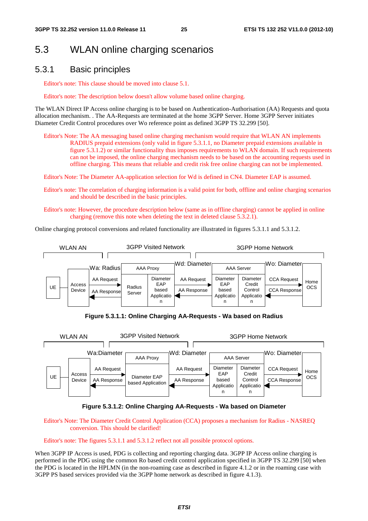# 5.3 WLAN online charging scenarios

### 5.3.1 Basic principles

Editor's note: This clause should be moved into clause 5.1.

Editor's note: The description below doesn't allow volume based online charging.

The WLAN Direct IP Access online charging is to be based on Authentication-Authorisation (AA) Requests and quota allocation mechanism. . The AA-Requests are terminated at the home 3GPP Server. Home 3GPP Server initiates Diameter Credit Control procedures over Wo reference point as defined 3GPP TS 32.299 [50].

Editor's Note: The AA messaging based online charging mechanism would require that WLAN AN implements RADIUS prepaid extensions (only valid in figure 5.3.1.1, no Diameter prepaid extensions available in figure 5.3.1.2) or similar functionality thus imposes requirements to WLAN domain. If such requirements can not be imposed, the online charging mechanism needs to be based on the accounting requests used in offline charging. This means that reliable and credit risk free online charging can not be implemented.

Editor's Note: The Diameter AA-application selection for Wd is defined in CN4. Diameter EAP is assumed.

- Editor's note: The correlation of charging information is a valid point for both, offline and online charging scenarios and should be described in the basic principles.
- Editor's note: However, the procedure description below (same as in offline charging) cannot be applied in online charging (remove this note when deleting the text in deleted clause 5.3.2.1).

Online charging protocol conversions and related functionality are illustrated in figures 5.3.1.1 and 5.3.1.2.



**Figure 5.3.1.1: Online Charging AA-Requests - Wa based on Radius** 



#### **Figure 5.3.1.2: Online Charging AA-Requests - Wa based on Diameter**

Editor's Note: The Diameter Credit Control Application (CCA) proposes a mechanism for Radius - NASREQ conversion. This should be clarified!

Editor's note: The figures 5.3.1.1 and 5.3.1.2 reflect not all possible protocol options.

When 3GPP IP Access is used, PDG is collecting and reporting charging data. 3GPP IP Access online charging is performed in the PDG using the common Ro based credit control application specified in 3GPP TS 32.299 [50] when the PDG is located in the HPLMN (in the non-roaming case as described in figure 4.1.2 or in the roaming case with 3GPP PS based services provided via the 3GPP home network as described in figure 4.1.3).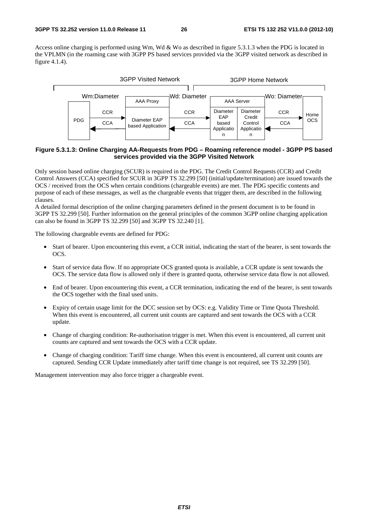Access online charging is performed using Wm, Wd & Wo as described in figure 5.3.1.3 when the PDG is located in the VPLMN (in the roaming case with 3GPP PS based services provided via the 3GPP visited network as described in figure 4.1.4).



#### **Figure 5.3.1.3: Online Charging AA-Requests from PDG – Roaming reference model - 3GPP PS based services provided via the 3GPP Visited Network**

Only session based online charging (SCUR) is required in the PDG. The Credit Control Requests (CCR) and Credit Control Answers (CCA) specified for SCUR in 3GPP TS 32.299 [50] (initial/update/termination) are issued towards the OCS / received from the OCS when certain conditions (chargeable events) are met. The PDG specific contents and purpose of each of these messages, as well as the chargeable events that trigger them, are described in the following clauses.

A detailed formal description of the online charging parameters defined in the present document is to be found in 3GPP TS 32.299 [50]. Further information on the general principles of the common 3GPP online charging application can also be found in 3GPP TS 32.299 [50] and 3GPP TS 32.240 [1].

The following chargeable events are defined for PDG:

- Start of bearer. Upon encountering this event, a CCR initial, indicating the start of the bearer, is sent towards the OCS.
- Start of service data flow. If no appropriate OCS granted quota is available, a CCR update is sent towards the OCS. The service data flow is allowed only if there is granted quota, otherwise service data flow is not allowed.
- End of bearer. Upon encountering this event, a CCR termination, indicating the end of the bearer, is sent towards the OCS together with the final used units.
- Expiry of certain usage limit for the DCC session set by OCS: e.g. Validity Time or Time Quota Threshold. When this event is encountered, all current unit counts are captured and sent towards the OCS with a CCR update.
- Change of charging condition: Re-authorisation trigger is met. When this event is encountered, all current unit counts are captured and sent towards the OCS with a CCR update.
- Change of charging condition: Tariff time change. When this event is encountered, all current unit counts are captured. Sending CCR Update immediately after tariff time change is not required, see TS 32.299 [50].

Management intervention may also force trigger a chargeable event.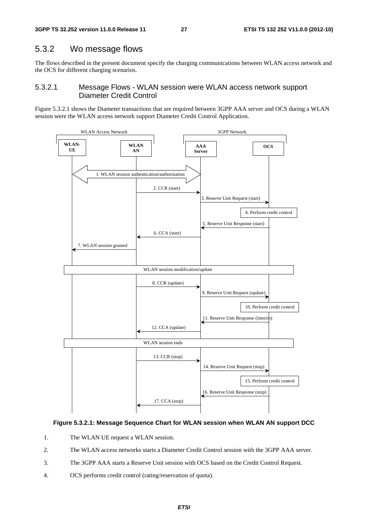### 5.3.2 Wo message flows

The flows described in the present document specify the charging communications between WLAN access network and the OCS for different charging scenarios.

### 5.3.2.1 Message Flows - WLAN session were WLAN access network support Diameter Credit Control

Figure 5.3.2.1 shows the Diameter transactions that are required between 3GPP AAA server and OCS during a WLAN session were the WLAN access network support Diameter Credit Control Application.



#### **Figure 5.3.2.1: Message Sequence Chart for WLAN session when WLAN AN support DCC**

- 1. The WLAN UE request a WLAN session.
- 2. The WLAN access networks starts a Diameter Credit Control session with the 3GPP AAA server.
- 3. The 3GPP AAA starts a Reserve Unit session with OCS based on the Credit Control Request.
- 4. OCS performs credit control (rating/reservation of quota).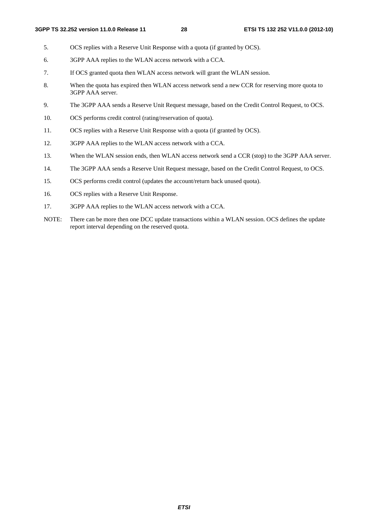- 5. OCS replies with a Reserve Unit Response with a quota (if granted by OCS).
- 6. 3GPP AAA replies to the WLAN access network with a CCA.
- 7. If OCS granted quota then WLAN access network will grant the WLAN session.
- 8. When the quota has expired then WLAN access network send a new CCR for reserving more quota to 3GPP AAA server.
- 9. The 3GPP AAA sends a Reserve Unit Request message, based on the Credit Control Request, to OCS.
- 10. OCS performs credit control (rating/reservation of quota).
- 11. OCS replies with a Reserve Unit Response with a quota (if granted by OCS).
- 12. 3GPP AAA replies to the WLAN access network with a CCA.
- 13. When the WLAN session ends, then WLAN access network send a CCR (stop) to the 3GPP AAA server.
- 14. The 3GPP AAA sends a Reserve Unit Request message, based on the Credit Control Request, to OCS.
- 15. OCS performs credit control (updates the account/return back unused quota).
- 16. OCS replies with a Reserve Unit Response.
- 17. 3GPP AAA replies to the WLAN access network with a CCA.
- NOTE: There can be more then one DCC update transactions within a WLAN session. OCS defines the update report interval depending on the reserved quota.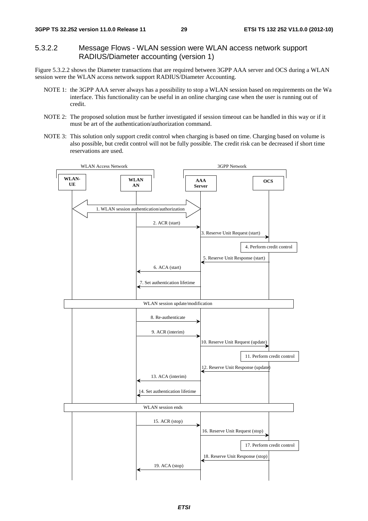### 5.3.2.2 Message Flows - WLAN session were WLAN access network support RADIUS/Diameter accounting (version 1)

Figure 5.3.2.2 shows the Diameter transactions that are required between 3GPP AAA server and OCS during a WLAN session were the WLAN access network support RADIUS/Diameter Accounting.

- NOTE 1: the 3GPP AAA server always has a possibility to stop a WLAN session based on requirements on the Wa interface. This functionality can be useful in an online charging case when the user is running out of credit.
- NOTE 2: The proposed solution must be further investigated if session timeout can be handled in this way or if it must be art of the authentication/authorization command.
- NOTE 3: This solution only support credit control when charging is based on time. Charging based on volume is also possible, but credit control will not be fully possible. The credit risk can be decreased if short time reservations are used.

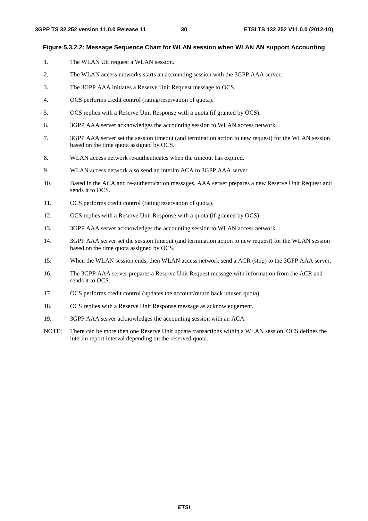#### **Figure 5.3.2.2: Message Sequence Chart for WLAN session when WLAN AN support Accounting**

- 1. The WLAN UE request a WLAN session.
- 2. The WLAN access networks starts an accounting session with the 3GPP AAA server.
- 3. The 3GPP AAA initiates a Reserve Unit Request message to OCS.
- 4. OCS performs credit control (rating/reservation of quota).
- 5. OCS replies with a Reserve Unit Response with a quota (if granted by OCS).
- 6. 3GPP AAA server acknowledges the accounting session to WLAN access network.
- 7. 3GPP AAA server set the session timeout (and termination action to new request) for the WLAN session based on the time quota assigned by OCS.
- 8. WLAN access network re-authenticates when the timeout has expired.
- 9. WLAN access network also send an interim ACA to 3GPP AAA server.
- 10. Based in the ACA and re-authentication messages, AAA server prepares a new Reserve Unit Request and sends it to OCS.
- 11. OCS performs credit control (rating/reservation of quota).
- 12. OCS replies with a Reserve Unit Response with a quota (if granted by OCS).
- 13. 3GPP AAA server acknowledges the accounting session to WLAN access network.
- 14. 3GPP AAA server set the session timeout (and termination action to new request) for the WLAN session based on the time quota assigned by OCS.
- 15. When the WLAN session ends, then WLAN access network send a ACR (stop) to the 3GPP AAA server.
- 16. The 3GPP AAA server prepares a Reserve Unit Request message with information from the ACR and sends it to OCS.
- 17. OCS performs credit control (updates the account/return back unused quota).
- 18. OCS replies with a Reserve Unit Response message as acknowledgement.
- 19. 3GPP AAA server acknowledges the accounting session with an ACA.
- NOTE: There can be more then one Reserve Unit update transactions within a WLAN session. OCS defines the interim report interval depending on the reserved quota.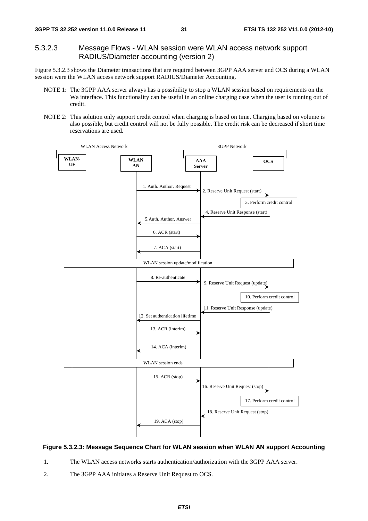### 5.3.2.3 Message Flows - WLAN session were WLAN access network support RADIUS/Diameter accounting (version 2)

Figure 5.3.2.3 shows the Diameter transactions that are required between 3GPP AAA server and OCS during a WLAN session were the WLAN access network support RADIUS/Diameter Accounting.

- NOTE 1: The 3GPP AAA server always has a possibility to stop a WLAN session based on requirements on the Wa interface. This functionality can be useful in an online charging case when the user is running out of credit.
- NOTE 2: This solution only support credit control when charging is based on time. Charging based on volume is also possible, but credit control will not be fully possible. The credit risk can be decreased if short time reservations are used.



#### **Figure 5.3.2.3: Message Sequence Chart for WLAN session when WLAN AN support Accounting**

- 1. The WLAN access networks starts authentication/authorization with the 3GPP AAA server.
- 2. The 3GPP AAA initiates a Reserve Unit Request to OCS.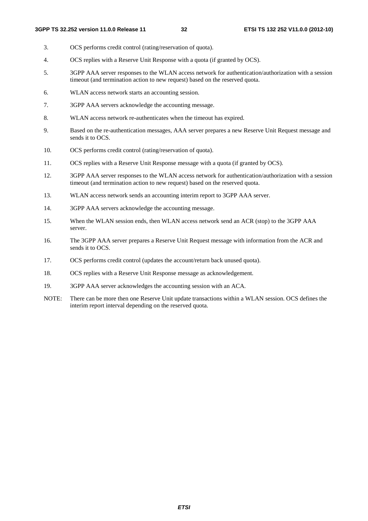- 3. OCS performs credit control (rating/reservation of quota).
- 4. OCS replies with a Reserve Unit Response with a quota (if granted by OCS).
- 5. 3GPP AAA server responses to the WLAN access network for authentication/authorization with a session timeout (and termination action to new request) based on the reserved quota.
- 6. WLAN access network starts an accounting session.
- 7. 3GPP AAA servers acknowledge the accounting message.
- 8. WLAN access network re-authenticates when the timeout has expired.
- 9. Based on the re-authentication messages, AAA server prepares a new Reserve Unit Request message and sends it to OCS.
- 10. OCS performs credit control (rating/reservation of quota).
- 11. OCS replies with a Reserve Unit Response message with a quota (if granted by OCS).
- 12. 3GPP AAA server responses to the WLAN access network for authentication/authorization with a session timeout (and termination action to new request) based on the reserved quota.
- 13. WLAN access network sends an accounting interim report to 3GPP AAA server.
- 14. 3GPP AAA servers acknowledge the accounting message.
- 15. When the WLAN session ends, then WLAN access network send an ACR (stop) to the 3GPP AAA server.
- 16. The 3GPP AAA server prepares a Reserve Unit Request message with information from the ACR and sends it to OCS.
- 17. OCS performs credit control (updates the account/return back unused quota).
- 18. OCS replies with a Reserve Unit Response message as acknowledgement.
- 19. 3GPP AAA server acknowledges the accounting session with an ACA.
- NOTE: There can be more then one Reserve Unit update transactions within a WLAN session. OCS defines the interim report interval depending on the reserved quota.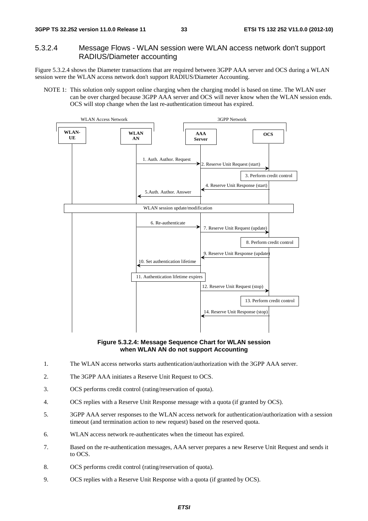### 5.3.2.4 Message Flows - WLAN session were WLAN access network don't support RADIUS/Diameter accounting

Figure 5.3.2.4 shows the Diameter transactions that are required between 3GPP AAA server and OCS during a WLAN session were the WLAN access network don't support RADIUS/Diameter Accounting.

NOTE 1: This solution only support online charging when the charging model is based on time. The WLAN user can be over charged because 3GPP AAA server and OCS will never know when the WLAN session ends. OCS will stop change when the last re-authentication timeout has expired.



**Figure 5.3.2.4: Message Sequence Chart for WLAN session when WLAN AN do not support Accounting** 

- 1. The WLAN access networks starts authentication/authorization with the 3GPP AAA server.
- 2. The 3GPP AAA initiates a Reserve Unit Request to OCS.
- 3. OCS performs credit control (rating/reservation of quota).
- 4. OCS replies with a Reserve Unit Response message with a quota (if granted by OCS).
- 5. 3GPP AAA server responses to the WLAN access network for authentication/authorization with a session timeout (and termination action to new request) based on the reserved quota.
- 6. WLAN access network re-authenticates when the timeout has expired.
- 7. Based on the re-authentication messages, AAA server prepares a new Reserve Unit Request and sends it to OCS.
- 8. OCS performs credit control (rating/reservation of quota).
- 9. OCS replies with a Reserve Unit Response with a quota (if granted by OCS).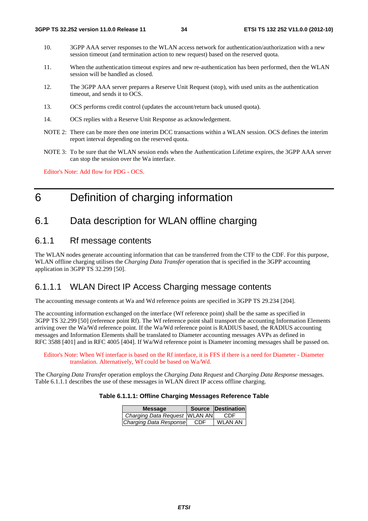- 10. 3GPP AAA server responses to the WLAN access network for authentication/authorization with a new session timeout (and termination action to new request) based on the reserved quota.
- 11. When the authentication timeout expires and new re-authentication has been performed, then the WLAN session will be handled as closed.
- 12. The 3GPP AAA server prepares a Reserve Unit Request (stop), with used units as the authentication timeout, and sends it to OCS.
- 13. OCS performs credit control (updates the account/return back unused quota).
- 14. OCS replies with a Reserve Unit Response as acknowledgement.
- NOTE 2: There can be more then one interim DCC transactions within a WLAN session. OCS defines the interim report interval depending on the reserved quota.
- NOTE 3: To be sure that the WLAN session ends when the Authentication Lifetime expires, the 3GPP AAA server can stop the session over the Wa interface.

Editor's Note: Add flow for PDG - OCS.

# 6 Definition of charging information

# 6.1 Data description for WLAN offline charging

### 6.1.1 Rf message contents

The WLAN nodes generate accounting information that can be transferred from the CTF to the CDF. For this purpose, WLAN offline charging utilises the *Charging Data Transfer* operation that is specified in the 3GPP accounting application in 3GPP TS 32.299 [50].

### 6.1.1.1 WLAN Direct IP Access Charging message contents

The accounting message contents at Wa and Wd reference points are specified in 3GPP TS 29.234 [204].

The accounting information exchanged on the interface (Wf reference point) shall be the same as specified in 3GPP TS 32.299 [50] (reference point Rf). The Wf reference point shall transport the accounting Information Elements arriving over the Wa/Wd reference point. If the Wa/Wd reference point is RADIUS based, the RADIUS accounting messages and Information Elements shall be translated to Diameter accounting messages AVPs as defined in RFC 3588 [401] and in RFC 4005 [404]. If Wa/Wd reference point is Diameter incoming messages shall be passed on.

Editor's Note: When Wf interface is based on the Rf interface, it is FFS if there is a need for Diameter - Diameter translation. Alternatively, Wf could be based on Wa/Wd.

The *Charging Data Transfe*r operation employs the *Charging Data Request* and *Charging Data Response* messages. Table 6.1.1.1 describes the use of these messages in WLAN direct IP access offline charging.

#### **Table 6.1.1.1: Offline Charging Messages Reference Table**

| <b>Message</b>                  |     | Source Destination |
|---------------------------------|-----|--------------------|
| Charging Data Request   WLAN AN |     | CDE                |
| Charging Data Response          | CDF | <b>WLAN AN</b>     |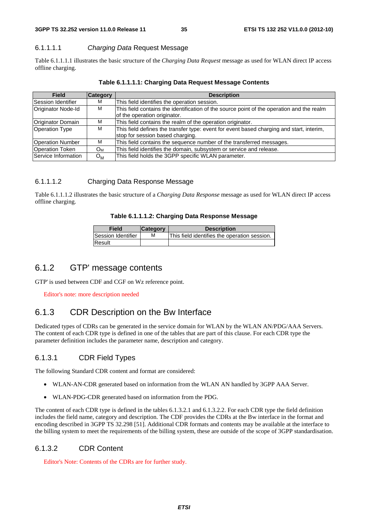**3GPP TS 32.252 version 11.0.0 Release 11 35 ETSI TS 132 252 V11.0.0 (2012-10)**

### 6.1.1.1.1 *Charging Data* Request Message

Table 6.1.1.1.1 illustrates the basic structure of the *Charging Data Request* message as used for WLAN direct IP access offline charging.

| <b>Field</b>              | <b>Category</b>       | <b>Description</b>                                                                                                           |
|---------------------------|-----------------------|------------------------------------------------------------------------------------------------------------------------------|
| Session Identifier        | м                     | This field identifies the operation session.                                                                                 |
| <b>Originator Node-Id</b> | м                     | This field contains the identification of the source point of the operation and the realm<br>of the operation originator.    |
| Originator Domain         | M                     | This field contains the realm of the operation originator.                                                                   |
| <b>Operation Type</b>     | M                     | This field defines the transfer type: event for event based charging and start, interim,<br>stop for session based charging. |
| <b>Operation Number</b>   | M                     | This field contains the sequence number of the transferred messages.                                                         |
| <b>Operation Token</b>    | $O_M$                 | This field identifies the domain, subsystem or service and release.                                                          |
| Service Information       | $\Omega_{\mathsf{M}}$ | This field holds the 3GPP specific WLAN parameter.                                                                           |

### **Table 6.1.1.1.1: Charging Data Request Message Contents**

### 6.1.1.1.2 Charging Data Response Message

Table 6.1.1.1.2 illustrates the basic structure of a *Charging Data Response* message as used for WLAN direct IP access offline charging.

### **Table 6.1.1.1.2: Charging Data Response Message**

| Field                     | <b>Category</b> | <b>Description</b>                           |
|---------------------------|-----------------|----------------------------------------------|
| <b>Session Identifier</b> | М               | This field identifies the operation session. |
| Result                    |                 |                                              |

# 6.1.2 GTP' message contents

GTP' is used between CDF and CGF on Wz reference point.

Editor's note: more description needed

# 6.1.3 CDR Description on the Bw Interface

Dedicated types of CDRs can be generated in the service domain for WLAN by the WLAN AN/PDG/AAA Servers. The content of each CDR type is defined in one of the tables that are part of this clause. For each CDR type the parameter definition includes the parameter name, description and category.

# 6.1.3.1 CDR Field Types

The following Standard CDR content and format are considered:

- WLAN-AN-CDR generated based on information from the WLAN AN handled by 3GPP AAA Server.
- WLAN-PDG-CDR generated based on information from the PDG.

The content of each CDR type is defined in the tables 6.1.3.2.1 and 6.1.3.2.2. For each CDR type the field definition includes the field name, category and description. The CDF provides the CDRs at the Bw interface in the format and encoding described in 3GPP TS 32.298 [51]. Additional CDR formats and contents may be available at the interface to the billing system to meet the requirements of the billing system, these are outside of the scope of 3GPP standardisation.

# 6.1.3.2 CDR Content

Editor's Note: Contents of the CDRs are for further study.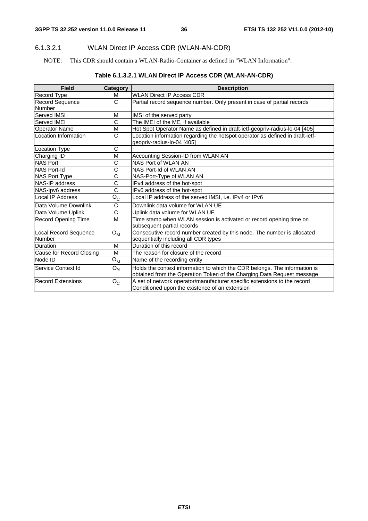### 6.1.3.2.1 WLAN Direct IP Access CDR (WLAN-AN-CDR)

NOTE: This CDR should contain a WLAN-Radio-Container as defined in "WLAN Information".

| <b>Field</b>               | Category              | <b>Description</b>                                                            |
|----------------------------|-----------------------|-------------------------------------------------------------------------------|
| Record Type                | м                     | <b>WLAN Direct IP Access CDR</b>                                              |
| <b>Record Sequence</b>     | C                     | Partial record sequence number. Only present in case of partial records       |
| Number                     |                       |                                                                               |
| Served IMSI                | M                     | IMSI of the served party                                                      |
| <b>Served IMEI</b>         | C                     | The IMEI of the ME, if available                                              |
| <b>Operator Name</b>       | M                     | Hot Spot Operator Name as defined in draft-ietf-geopriv-radius-lo-04 [405]    |
| Location Information       | C                     | Location information regarding the hotspot operator as defined in draft-ietf- |
|                            |                       | geopriv-radius-lo-04 [405]                                                    |
| <b>Location Type</b>       | C                     |                                                                               |
| Charging ID                | M                     | Accounting Session-ID from WLAN AN                                            |
| <b>NAS Port</b>            | C                     | NAS Port of WLAN AN                                                           |
| <b>NAS Port-Id</b>         | C                     | NAS Port-Id of WLAN AN                                                        |
| <b>NAS Port Type</b>       | C                     | NAS-Port-Type of WLAN AN                                                      |
| NAS-IP address             | $\overline{\text{c}}$ | IPv4 address of the hot-spot                                                  |
| NAS-Ipv6 address           | C                     | IPv6 address of the hot-spot                                                  |
| Local IP Address           | $O_{C}$               | Local IP address of the served IMSI, i.e. IPv4 or IPv6                        |
| Data Volume Downlink       | C                     | Downlink data volume for WLAN UE                                              |
| Data Volume Uplink         | C                     | Uplink data volume for WLAN UE                                                |
| <b>Record Opening Time</b> | M                     | Time stamp when WLAN session is activated or record opening time on           |
|                            |                       | subsequent partial records                                                    |
| Local Record Sequence      | $O_{M}$               | Consecutive record number created by this node. The number is allocated       |
| Number                     |                       | sequentially including all CDR types                                          |
| Duration                   | M                     | Duration of this record                                                       |
| Cause for Record Closing   | M                     | The reason for closure of the record                                          |
| Node ID                    | $O_{M}$               | Name of the recording entity                                                  |
| Service Context Id         | $O_{M}$               | Holds the context information to which the CDR belongs. The information is    |
|                            |                       | obtained from the Operation Token of the Charging Data Request message        |
| <b>Record Extensions</b>   | $O_{C}$               | A set of network operator/manufacturer specific extensions to the record      |
|                            |                       | Conditioned upon the existence of an extension                                |

### **Table 6.1.3.2.1 WLAN Direct IP Access CDR (WLAN-AN-CDR)**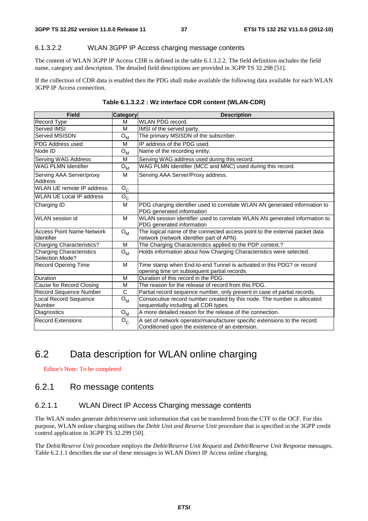#### 6.1.3.2.2 WLAN 3GPP IP Access charging message contents

The content of WLAN 3GPP IP Access CDR is defined in the table 6.1.3.2.2. The field definition includes the field name, category and description. The detailed field descriptions are provided in 3GPP TS 32.298 [51].

If the collection of CDR data is enabled then the PDG shall make available the following data available for each WLAN 3GPP IP Access connection.

| <b>Field</b>                                       | Category         | <b>Description</b>                                                                                                           |  |
|----------------------------------------------------|------------------|------------------------------------------------------------------------------------------------------------------------------|--|
| Record Type                                        | м                | <b>WLAN PDG record.</b>                                                                                                      |  |
| Served IMSI                                        | M                | IMSI of the served party.                                                                                                    |  |
| Served MSISDN                                      | $O_{\mathsf{M}}$ | The primary MSISDN of the subscriber.                                                                                        |  |
| <b>PDG Address used</b>                            | M                | IP address of the PDG used.                                                                                                  |  |
| Node ID                                            | $O_{M}$          | Name of the recording entity.                                                                                                |  |
| Serving WAG Address                                | M                | Serving WAG address used during this record.                                                                                 |  |
| <b>WAG PLMN Identifier</b>                         | $O_{\mathsf{M}}$ | WAG PLMN Identifier (MCC and MNC) used during this record.                                                                   |  |
| Serving AAA Server/proxy<br><b>Address</b>         | м                | Serving AAA Server/Proxy address.                                                                                            |  |
| WLAN UE remote IP address                          | $O_{C}$          |                                                                                                                              |  |
| <b>WLAN UE Local IP address</b>                    | $O_{C}$          |                                                                                                                              |  |
| Charging ID                                        | M                | PDG charging identifier used to correlate WLAN AN generated information to<br>PDG generated information                      |  |
| <b>WLAN</b> session id                             | M                | WLAN session identifier used to correlate WLAN AN generated information to<br>PDG generated information                      |  |
| <b>Access Point Name Network</b><br>Identifier     | $O_{\mathsf{M}}$ | The logical name of the connected access point to the external packet data<br>network (network identifier part of APN).      |  |
| <b>Charging Characteristics?</b>                   | м                | The Charging Characteristics applied to the PDP context.?                                                                    |  |
| <b>Charging Characteristics</b><br>Selection Mode? | $O_{M}$          | Holds information about how Charging Characteristics were selected.                                                          |  |
| <b>Record Opening Time</b>                         | м                | Time stamp when End-to-end Tunnel is activated in this PDG? or record<br>opening time on subsequent partial records.         |  |
| Duration                                           | M                | Duration of this record in the PDG.                                                                                          |  |
| Cause for Record Closing                           | M                | The reason for the release of record from this PDG.                                                                          |  |
| Record Sequence Number                             | $\overline{C}$   | Partial record sequence number, only present in case of partial records.                                                     |  |
| Local Record Sequence<br>Number                    | $O_{M}$          | Consecutive record number created by this node. The number is allocated<br>sequentially including all CDR types.             |  |
| Diagnostics                                        | $O_{M}$          | A more detailed reason for the release of the connection.                                                                    |  |
| <b>Record Extensions</b>                           | $O_{C}$          | A set of network operator/manufacturer specific extensions to the record.<br>Conditioned upon the existence of an extension. |  |

**Table 6.1.3.2.2 : Wz interface CDR content (WLAN-CDR)** 

# 6.2 Data description for WLAN online charging

Editor's Note: To be completed

### 6.2.1 Ro message contents

#### 6.2.1.1 WLAN Direct IP Access Charging message contents

The WLAN nodes generate debit/reserve unit information that can be transferred from the CTF to the OCF. For this purpose, WLAN online charging utilises the *Debit Unit and Reserve Unit* procedure that is specified in the 3GPP credit control application in 3GPP TS 32.299 [50].

The *Debit/Reserve Unit* procedure employs the *Debit/Reserve Unit Request* and *Debit/Reserve Unit Response* messages. Table 6.2.1.1 describes the use of these messages in WLAN Direct IP Access online charging.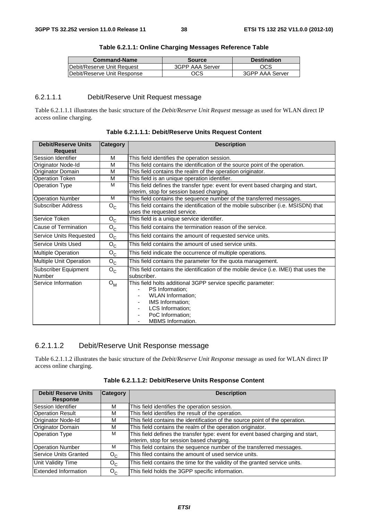| <b>Command-Name</b>          | <b>Source</b>   | <b>Destination</b> |  |
|------------------------------|-----------------|--------------------|--|
| Debit/Reserve Unit Request   | 3GPP AAA Server | <b>OCS</b>         |  |
| IDebit/Reserve Unit Response | ocs             | 3GPP AAA Server    |  |

#### **Table 6.2.1.1: Online Charging Messages Reference Table**

### 6.2.1.1.1 Debit/Reserve Unit Request message

Table 6.2.1.1.1 illustrates the basic structure of the *Debit/Reserve Unit Request* message as used for WLAN direct IP access online charging.

| <b>Debit/Reserve Units</b><br><b>Request</b> | Category         | <b>Description</b>                                                                                                                                                                                         |
|----------------------------------------------|------------------|------------------------------------------------------------------------------------------------------------------------------------------------------------------------------------------------------------|
| Session Identifier                           | M                | This field identifies the operation session.                                                                                                                                                               |
| Originator Node-Id                           | M                | This field contains the identification of the source point of the operation.                                                                                                                               |
| Originator Domain                            | M                | This field contains the realm of the operation originator.                                                                                                                                                 |
| <b>Operation Token</b>                       | M                | This field is an unique operation identifier.                                                                                                                                                              |
| <b>Operation Type</b>                        | M                | This field defines the transfer type: event for event based charging and start,<br>interim, stop for session based charging.                                                                               |
| <b>Operation Number</b>                      | M                | This field contains the sequence number of the transferred messages.                                                                                                                                       |
| Subscriber Address                           | $O_{C}$          | This field contains the identification of the mobile subscriber (i.e. MSISDN) that<br>uses the requested service.                                                                                          |
| Service Token                                | $O_{C}$          | This field is a unique service identifier.                                                                                                                                                                 |
| Cause of Termination                         | $O_{C}$          | This field contains the termination reason of the service.                                                                                                                                                 |
| Service Units Requested                      | $O_{C}$          | This field contains the amount of requested service units.                                                                                                                                                 |
| Service Units Used                           | $O_{C}$          | This field contains the amount of used service units.                                                                                                                                                      |
| <b>Multiple Operation</b>                    | $O_{C}$          | This field indicate the occurrence of multiple operations.                                                                                                                                                 |
| Multiple Unit Operation                      | $O_{C}$          | This field contains the parameter for the quota management.                                                                                                                                                |
| Subscriber Equipment<br>Number               | $O_{C}$          | This field contains the identification of the mobile device (i.e. IMEI) that uses the<br>subscriber.                                                                                                       |
| Service Information                          | $O_{\mathsf{M}}$ | This field holts additional 3GPP service specific parameter:<br><b>PS</b> Information:<br><b>WLAN Information:</b><br>IMS Information;<br>LCS Information;<br>PoC Information;<br><b>MBMS</b> Information. |

**Table 6.2.1.1.1: Debit/Reserve Units Request Content** 

### 6.2.1.1.2 Debit/Reserve Unit Response message

Table 6.2.1.1.2 illustrates the basic structure of the *Debit/Reserve Unit Response* message as used for WLAN direct IP access online charging.

| <b>Debit/ Reserve Units</b> | <b>Category</b> | <b>Description</b>                                                              |
|-----------------------------|-----------------|---------------------------------------------------------------------------------|
| <b>Response</b>             |                 |                                                                                 |
| Session Identifier          | м               | This field identifies the operation session.                                    |
| <b>Operation Result</b>     | м               | This field identifies the result of the operation.                              |
| Originator Node-Id          | м               | This field contains the identification of the source point of the operation.    |
| Originator Domain           | M               | This field contains the realm of the operation originator.                      |
| <b>Operation Type</b>       | M               | This field defines the transfer type: event for event based charging and start, |
|                             |                 | interim, stop for session based charging.                                       |
| <b>Operation Number</b>     | м               | This field contains the sequence number of the transferred messages.            |
| Service Units Granted       | $O_{C}$         | This filed contains the amount of used service units.                           |
| <b>Unit Validity Time</b>   | $O_{C}$         | This field contains the time for the validity of the granted service units.     |
| Extended Information        | $O_{C}$         | This field holds the 3GPP specific information.                                 |

**Table 6.2.1.1.2: Debit/Reserve Units Response Content**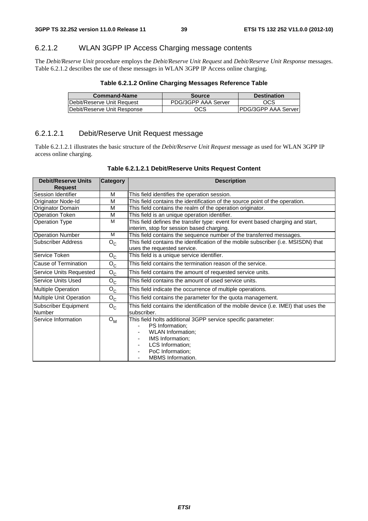### 6.2.1.2 WLAN 3GPP IP Access Charging message contents

The *Debit/Reserve Unit* procedure employs the *Debit/Reserve Unit Request* and *Debit/Reserve Unit Response* messages. Table 6.2.1.2 describes the use of these messages in WLAN 3GPP IP Access online charging.

| <b>Command-Name</b>         | <b>Source</b>       | <b>Destination</b>  |
|-----------------------------|---------------------|---------------------|
| Debit/Reserve Unit Request  | PDG/3GPP AAA Server | OCS                 |
| Debit/Reserve Unit Response | OCS                 | PDG/3GPP AAA Server |

### 6.2.1.2.1 Debit/Reserve Unit Request message

Table 6.2.1.2.1 illustrates the basic structure of the *Debit/Reserve Unit Request* message as used for WLAN 3GPP IP access online charging.

|  | Table 6.2.1.2.1 Debit/Reserve Units Request Content |  |  |  |
|--|-----------------------------------------------------|--|--|--|
|--|-----------------------------------------------------|--|--|--|

| <b>Debit/Reserve Units</b>     | <b>Category</b> | <b>Description</b>                                                                                                                                                                                         |  |  |
|--------------------------------|-----------------|------------------------------------------------------------------------------------------------------------------------------------------------------------------------------------------------------------|--|--|
| <b>Request</b>                 |                 |                                                                                                                                                                                                            |  |  |
| Session Identifier             | M               | This field identifies the operation session.                                                                                                                                                               |  |  |
| Originator Node-Id             | M               | This field contains the identification of the source point of the operation.                                                                                                                               |  |  |
| <b>Originator Domain</b>       | M               | This field contains the realm of the operation originator.                                                                                                                                                 |  |  |
| <b>Operation Token</b>         | M               | This field is an unique operation identifier.                                                                                                                                                              |  |  |
| <b>Operation Type</b>          | M               | This field defines the transfer type: event for event based charging and start,                                                                                                                            |  |  |
|                                |                 | interim, stop for session based charging.                                                                                                                                                                  |  |  |
| <b>Operation Number</b>        | M               | This field contains the sequence number of the transferred messages.                                                                                                                                       |  |  |
| Subscriber Address             | $O_{C}$         | This field contains the identification of the mobile subscriber (i.e. MSISDN) that<br>uses the requested service.                                                                                          |  |  |
| lService Token                 | $O_{C}$         | This field is a unique service identifier.                                                                                                                                                                 |  |  |
| Cause of Termination           | $O_{C}$         | This field contains the termination reason of the service.                                                                                                                                                 |  |  |
| Service Units Requested        | $O_{C}$         | This field contains the amount of requested service units.                                                                                                                                                 |  |  |
| Service Units Used             | $O_{C}$         | This field contains the amount of used service units.                                                                                                                                                      |  |  |
| Multiple Operation             | $O_{C}$         | This field indicate the occurrence of multiple operations.                                                                                                                                                 |  |  |
| Multiple Unit Operation        | $O_{C}$         | This field contains the parameter for the quota management.                                                                                                                                                |  |  |
| Subscriber Equipment<br>Number | $O_{C}$         | This field contains the identification of the mobile device (i.e. IMEI) that uses the<br>subscriber.                                                                                                       |  |  |
| Service Information            | $O_{M}$         | This field holts additional 3GPP service specific parameter:<br>PS Information;<br><b>WLAN Information:</b><br>IMS Information;<br><b>LCS</b> Information:<br>PoC Information;<br><b>MBMS</b> Information. |  |  |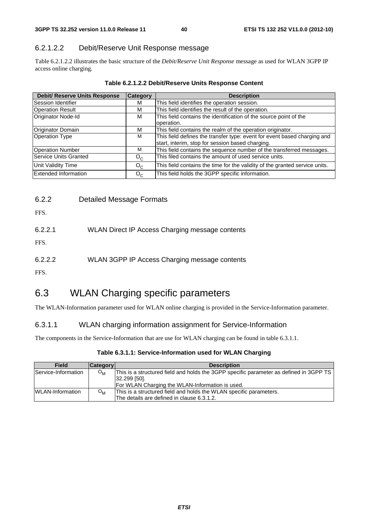### 6.2.1.2.2 Debit/Reserve Unit Response message

Table 6.2.1.2.2 illustrates the basic structure of the *Debit/Reserve Unit Response* message as used for WLAN 3GPP IP access online charging.

| Table 6.2.1.2.2 Debit/Reserve Units Response Content |  |
|------------------------------------------------------|--|
|------------------------------------------------------|--|

| <b>Debit/ Reserve Units Response</b> | <b>Category</b> | <b>Description</b>                                                                                                           |  |
|--------------------------------------|-----------------|------------------------------------------------------------------------------------------------------------------------------|--|
| Session Identifier                   | м               | This field identifies the operation session.                                                                                 |  |
| <b>Operation Result</b>              | M               | This field identifies the result of the operation.                                                                           |  |
| Originator Node-Id                   | м               | This field contains the identification of the source point of the<br>operation.                                              |  |
| Originator Domain                    | M               | This field contains the realm of the operation originator.                                                                   |  |
| <b>Operation Type</b>                | м               | This field defines the transfer type: event for event based charging and<br>start, interim, stop for session based charging. |  |
| <b>Operation Number</b>              | M               | This field contains the sequence number of the transferred messages.                                                         |  |
| Service Units Granted                | $O_{C}$         | This filed contains the amount of used service units.                                                                        |  |
| <b>Unit Validity Time</b>            | $O_{C}$         | This field contains the time for the validity of the granted service units.                                                  |  |
| Extended Information                 | $O_{C}$         | This field holds the 3GPP specific information.                                                                              |  |

| 6.2.2 | <b>Detailed Message Formats</b> |
|-------|---------------------------------|
|-------|---------------------------------|

FFS.

6.2.2.1 WLAN Direct IP Access Charging message contents

FFS.

6.2.2.2 WLAN 3GPP IP Access Charging message contents

FFS.

# 6.3 WLAN Charging specific parameters

The WLAN-Information parameter used for WLAN online charging is provided in the Service-Information parameter.

### 6.3.1.1 WLAN charging information assignment for Service-Information

The components in the Service-Information that are use for WLAN charging can be found in table 6.3.1.1.

| Table 6.3.1.1: Service-Information used for WLAN Charging |  |  |
|-----------------------------------------------------------|--|--|
|-----------------------------------------------------------|--|--|

| <b>Field</b>            | <b>Category</b>  | <b>Description</b>                                                                     |
|-------------------------|------------------|----------------------------------------------------------------------------------------|
| Service-Information     | $O_{\mathsf{M}}$ | This is a structured field and holds the 3GPP specific parameter as defined in 3GPP TS |
|                         |                  | 32.299 [50].                                                                           |
|                         |                  | For WLAN Charging the WLAN-Information is used.                                        |
| <b>WLAN-Information</b> | O <sub>M</sub>   | This is a structured field and holds the WLAN specific parameters.                     |
|                         |                  | The details are defined in clause 6.3.1.2.                                             |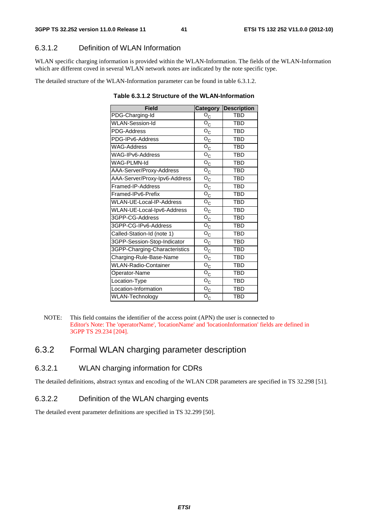# 6.3.1.2 Definition of WLAN Information

WLAN specific charging information is provided within the WLAN-Information. The fields of the WLAN-Information which are different coved in several WLAN network notes are indicated by the note specific type.

The detailed structure of the WLAN-Information parameter can be found in table 6.3.1.2.

| <b>Field</b>                  | <b>Category</b>                      | <b>Description</b> |
|-------------------------------|--------------------------------------|--------------------|
| PDG-Charging-Id               | $O_{\rm C}$                          | <b>TBD</b>         |
| <b>WLAN-Session-Id</b>        | $\overline{O}_C$                     | TBD                |
| PDG-Address                   | $\overline{\mathsf{o}}_{\mathsf{C}}$ | TBD                |
| PDG-IPv6-Address              | $\overline{\mathrm{o}}_{\mathrm{C}}$ | <b>TBD</b>         |
| <b>WAG-Address</b>            | $\overline{\mathsf{o}}_{\mathsf{C}}$ | <b>TBD</b>         |
| WAG-IPv6-Address              | $\overline{\mathsf{o}}_\mathsf{C}$   | <b>TBD</b>         |
| WAG-PLMN-Id                   | $\rm O_C$                            | <b>TBD</b>         |
| AAA-Server/Proxy-Address      | $\overline{\mathsf{o}}_\mathsf{C}$   | <b>TBD</b>         |
| AAA-Server/Proxy-Ipv6-Address | $\overline{O}_C$                     | <b>TBD</b>         |
| Framed-IP-Address             | $\mathsf{o}_{\mathsf{C}}$            | <b>TBD</b>         |
| Framed-IPv6-Prefix            | $\mathsf{o}_{\mathsf{C}}$            | <b>TBD</b>         |
| WLAN-UE-Local-IP-Address      | $\mathsf{o}_{\mathsf{C}}$            | <b>TBD</b>         |
| WLAN-UE-Local-Ipv6-Address    | $\overline{\mathsf{o}}_\mathsf{C}$   | <b>TBD</b>         |
| 3GPP-CG-Address               | $\mathsf{o}_{\mathsf{C}}$            | <b>TBD</b>         |
| 3GPP-CG-IPv6-Address          | $\rm \bar{o}_{c}$                    | <b>TBD</b>         |
| Called-Station-Id (note 1)    | $\mathsf{o}_{\mathsf{C}}$            | <b>TBD</b>         |
| 3GPP-Session-Stop-Indicator   | $\mathsf{o}_{\mathsf{C}}$            | <b>TBD</b>         |
| 3GPP-Charging-Characteristics | $\rm \bar{o}_{c}$                    | <b>TBD</b>         |
| Charging-Rule-Base-Name       | $\mathsf{o}_{\mathsf{C}}$            | <b>TBD</b>         |
| <b>WLAN-Radio-Container</b>   | $\mathsf{o}_{\mathsf{C}}$            | <b>TBD</b>         |
| Operator-Name                 | $\rm \bar{o}_{c}$                    | <b>TBD</b>         |
| Location-Type                 | $\overline{\mathsf{o}}_{\mathsf{C}}$ | <b>TBD</b>         |
| Location-Information          | $\rm \bar{o}_{c}$                    | <b>TBD</b>         |
| WLAN-Technology               | $\mathsf{o}_{\mathsf{C}}$            | <b>TBD</b>         |

**Table 6.3.1.2 Structure of the WLAN-Information** 

# 6.3.2 Formal WLAN charging parameter description

### 6.3.2.1 WLAN charging information for CDRs

The detailed definitions, abstract syntax and encoding of the WLAN CDR parameters are specified in TS 32.298 [51].

### 6.3.2.2 Definition of the WLAN charging events

The detailed event parameter definitions are specified in TS 32.299 [50].

NOTE: This field contains the identifier of the access point (APN) the user is connected to Editor's Note: The 'operatorName', 'locationName' and 'locationInformation' fields are defined in 3GPP TS 29.234 [204].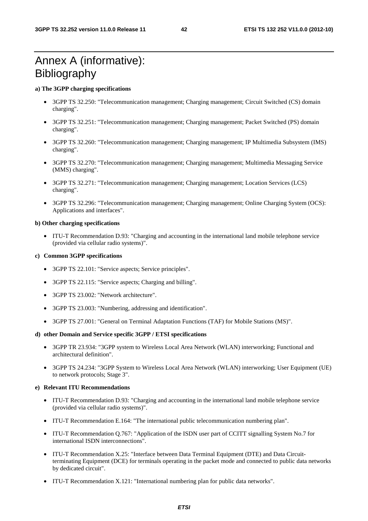# Annex A (informative): **Bibliography**

#### **a) The 3GPP charging specifications**

- 3GPP TS 32.250: "Telecommunication management; Charging management; Circuit Switched (CS) domain charging".
- 3GPP TS 32.251: "Telecommunication management; Charging management; Packet Switched (PS) domain charging".
- 3GPP TS 32.260: "Telecommunication management; Charging management; IP Multimedia Subsystem (IMS) charging".
- 3GPP TS 32.270: "Telecommunication management; Charging management; Multimedia Messaging Service (MMS) charging".
- 3GPP TS 32.271: "Telecommunication management; Charging management; Location Services (LCS) charging".
- 3GPP TS 32.296: "Telecommunication management: Charging management: Online Charging System (OCS): Applications and interfaces".

#### **b) Other charging specifications**

• ITU-T Recommendation D.93: "Charging and accounting in the international land mobile telephone service (provided via cellular radio systems)".

#### **c) Common 3GPP specifications**

- 3GPP TS 22.101: "Service aspects; Service principles".
- 3GPP TS 22.115: "Service aspects; Charging and billing".
- 3GPP TS 23.002: "Network architecture".
- 3GPP TS 23.003: "Numbering, addressing and identification".
- 3GPP TS 27.001: "General on Terminal Adaptation Functions (TAF) for Mobile Stations (MS)".

#### **d) other Domain and Service specific 3GPP / ETSI specifications**

- 3GPP TR 23.934: "3GPP system to Wireless Local Area Network (WLAN) interworking; Functional and architectural definition".
- 3GPP TS 24.234: "3GPP System to Wireless Local Area Network (WLAN) interworking; User Equipment (UE) to network protocols; Stage 3".

#### **e) Relevant ITU Recommendations**

- ITU-T Recommendation D.93: "Charging and accounting in the international land mobile telephone service (provided via cellular radio systems)".
- ITU-T Recommendation E.164: "The international public telecommunication numbering plan".
- ITU-T Recommendation Q.767: "Application of the ISDN user part of CCITT signalling System No.7 for international ISDN interconnections".
- ITU-T Recommendation X.25: "Interface between Data Terminal Equipment (DTE) and Data Circuitterminating Equipment (DCE) for terminals operating in the packet mode and connected to public data networks by dedicated circuit".
- ITU-T Recommendation X.121: "International numbering plan for public data networks".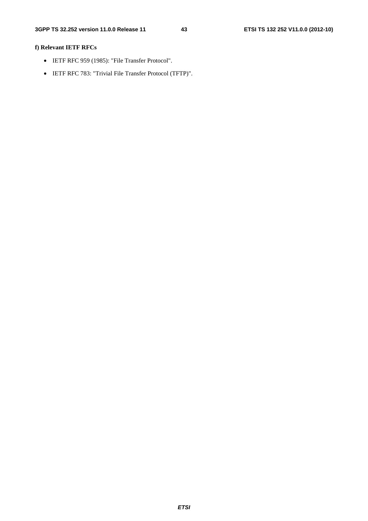### **f) Relevant IETF RFCs**

- IETF RFC 959 (1985): "File Transfer Protocol".
- IETF RFC 783: "Trivial File Transfer Protocol (TFTP)".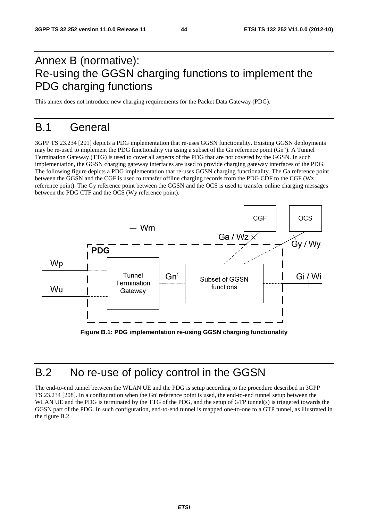# Annex B (normative): Re-using the GGSN charging functions to implement the PDG charging functions

This annex does not introduce new charging requirements for the Packet Data Gateway (PDG).

# B.1 General

3GPP TS 23.234 [201] depicts a PDG implementation that re-uses GGSN functionality. Existing GGSN deployments may be re-used to implement the PDG functionality via using a subset of the Gn reference point (Gn"). A Tunnel Termination Gateway (TTG) is used to cover all aspects of the PDG that are not covered by the GGSN. In such implementation, the GGSN charging gateway interfaces are used to provide charging gateway interfaces of the PDG. The following figure depicts a PDG implementation that re-uses GGSN charging functionality. The Ga reference point between the GGSN and the CGF is used to transfer offline charging records from the PDG CDF to the CGF (Wz reference point). The Gy reference point between the GGSN and the OCS is used to transfer online charging messages between the PDG CTF and the OCS (Wy reference point).



**Figure B.1: PDG implementation re-using GGSN charging functionality** 

# B.2 No re-use of policy control in the GGSN

The end-to-end tunnel between the WLAN UE and the PDG is setup according to the procedure described in 3GPP TS 23.234 [208]. In a configuration when the Gn' reference point is used, the end-to-end tunnel setup between the WLAN UE and the PDG is terminated by the TTG of the PDG, and the setup of GTP tunnel(s) is triggered towards the GGSN part of the PDG. In such configuration, end-to-end tunnel is mapped one-to-one to a GTP tunnel, as illustrated in the figure B.2.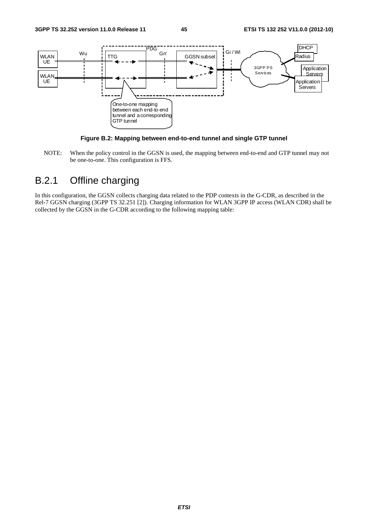

**Figure B.2: Mapping between end-to-end tunnel and single GTP tunnel** 

NOTE: When the policy control in the GGSN is used, the mapping between end-to-end and GTP tunnel may not be one-to-one. This configuration is FFS.

# B.2.1 Offline charging

In this configuration, the GGSN collects charging data related to the PDP contexts in the G-CDR, as described in the Rel-7 GGSN charging (3GPP TS 32.251 [2]). Charging information for WLAN 3GPP IP access (WLAN CDR) shall be collected by the GGSN in the G-CDR according to the following mapping table: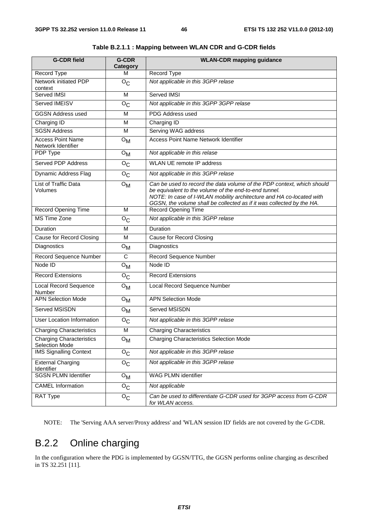| <b>G-CDR field</b>                                | <b>G-CDR</b><br>Category | <b>WLAN-CDR mapping guidance</b>                                                                                                                                                                                                                                                 |
|---------------------------------------------------|--------------------------|----------------------------------------------------------------------------------------------------------------------------------------------------------------------------------------------------------------------------------------------------------------------------------|
| Record Type                                       | м                        | Record Type                                                                                                                                                                                                                                                                      |
| Network initiated PDP<br>context                  | $O_{C}$                  | Not applicable in this 3GPP relase                                                                                                                                                                                                                                               |
| Served IMSI                                       | M                        | Served IMSI                                                                                                                                                                                                                                                                      |
| Served IMEISV                                     | $O_{C}$                  | Not applicable in this 3GPP 3GPP relase                                                                                                                                                                                                                                          |
| <b>GGSN Address used</b>                          | M                        | PDG Address used                                                                                                                                                                                                                                                                 |
| Charging ID                                       | M                        | Charging ID                                                                                                                                                                                                                                                                      |
| <b>SGSN Address</b>                               | M                        | Serving WAG address                                                                                                                                                                                                                                                              |
| <b>Access Point Name</b><br>Network Identifier    | $O_{\mathsf{M}}$         | <b>Access Point Name Network Identifier</b>                                                                                                                                                                                                                                      |
| PDP Type                                          | $O_{\mathsf{M}}$         | Not applicable in this relase                                                                                                                                                                                                                                                    |
| <b>Served PDP Address</b>                         | O <sub>C</sub>           | WLAN UE remote IP address                                                                                                                                                                                                                                                        |
| Dynamic Address Flag                              | $O_{C}$                  | Not applicable in this 3GPP relase                                                                                                                                                                                                                                               |
| List of Traffic Data<br>Volumes                   | $O_{\mathsf{M}}$         | Can be used to record the data volume of the PDP context, which should<br>be equivalent to the volume of the end-to-end tunnel.<br>NOTE: In case of I-WLAN mobility architecture and HA co-located with<br>GGSN, the volume shall be collected as if it was collected by the HA. |
| <b>Record Opening Time</b>                        | M                        | <b>Record Opening Time</b>                                                                                                                                                                                                                                                       |
| <b>MS Time Zone</b>                               | $O_{\rm C}$              | Not applicable in this 3GPP relase                                                                                                                                                                                                                                               |
| Duration                                          | M                        | Duration                                                                                                                                                                                                                                                                         |
| Cause for Record Closing                          | M                        | <b>Cause for Record Closing</b>                                                                                                                                                                                                                                                  |
| Diagnostics                                       | $O_{\mathsf{M}}$         | Diagnostics                                                                                                                                                                                                                                                                      |
| Record Sequence Number                            | $\mathsf{C}$             | Record Sequence Number                                                                                                                                                                                                                                                           |
| Node ID                                           | $O_{\mathsf{M}}$         | Node ID                                                                                                                                                                                                                                                                          |
| <b>Record Extensions</b>                          | $O_{C}$                  | <b>Record Extensions</b>                                                                                                                                                                                                                                                         |
| Local Record Sequence<br>Number                   | $O_{\mathsf{M}}$         | Local Record Sequence Number                                                                                                                                                                                                                                                     |
| <b>APN Selection Mode</b>                         | $O_{\mathsf{M}}$         | <b>APN Selection Mode</b>                                                                                                                                                                                                                                                        |
| Served MSISDN                                     | $O_{\mathsf{M}}$         | Served MSISDN                                                                                                                                                                                                                                                                    |
| <b>User Location Information</b>                  | $O_{\mathbb{C}}$         | Not applicable in this 3GPP relase                                                                                                                                                                                                                                               |
| <b>Charging Characteristics</b>                   | M                        | <b>Charging Characteristics</b>                                                                                                                                                                                                                                                  |
| <b>Charging Characteristics</b><br>Selection Mode | $O_{\mathsf{M}}$         | <b>Charging Characteristics Selection Mode</b>                                                                                                                                                                                                                                   |
| <b>IMS Signalling Context</b>                     | $O_{\rm C}$              | Not applicable in this 3GPP relase                                                                                                                                                                                                                                               |
| <b>External Charging</b><br>Identifier            | $O_{C}$                  | Not applicable in this 3GPP relase                                                                                                                                                                                                                                               |
| <b>SGSN PLMN Identifier</b>                       | $O_{\mathsf{M}}$         | WAG PLMN identifier                                                                                                                                                                                                                                                              |
| <b>CAMEL Information</b>                          | $O_{C}$                  | Not applicable                                                                                                                                                                                                                                                                   |
| RAT Type                                          | $O_{\rm C}$              | Can be used to differentiate G-CDR used for 3GPP access from G-CDR<br>for WLAN access.                                                                                                                                                                                           |

**Table B.2.1.1 : Mapping between WLAN CDR and G-CDR fields** 

NOTE: The 'Serving AAA server/Proxy address' and 'WLAN session ID' fields are not covered by the G-CDR.

# B.2.2 Online charging

In the configuration where the PDG is implemented by GGSN/TTG, the GGSN performs online charging as described in TS 32.251 [11].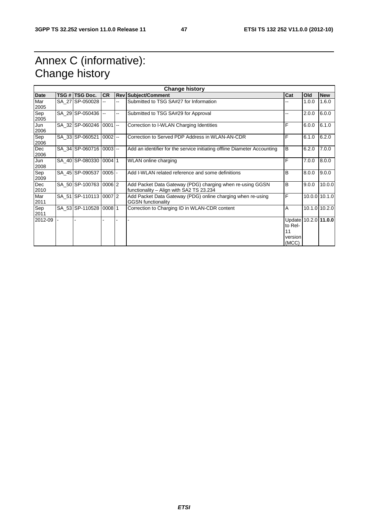# Annex C (informative): Change history

|             | <b>Change history</b> |                         |                          |        |                                                                          |                      |       |               |
|-------------|-----------------------|-------------------------|--------------------------|--------|--------------------------------------------------------------------------|----------------------|-------|---------------|
| <b>Date</b> |                       | TSG # TSG Doc.          | <b>CR</b>                |        | <b>Rev Subject/Comment</b>                                               | Cat                  | Old   | <b>New</b>    |
| Mar         |                       | SA 27 SP-050028         | --                       | Щ,     | Submitted to TSG SA#27 for Information                                   |                      | 1.0.0 | 1.6.0         |
| 2005        |                       |                         |                          |        |                                                                          |                      |       |               |
| Sep         |                       | SA 29 SP-050436         | $\overline{\phantom{a}}$ | --     | Submitted to TSG SA#29 for Approval                                      |                      | 2.0.0 | 6.0.0         |
| 2005        |                       |                         |                          |        |                                                                          |                      |       |               |
| Jun         |                       | SA 32 SP-060246 0001    |                          | $\sim$ | Correction to I-WLAN Charging Identities                                 | F                    | 6.0.0 | 6.1.0         |
| 2006        |                       |                         |                          |        |                                                                          |                      |       |               |
| Sep         |                       | SA 33 SP-060521         | $ 0002  -$               |        | Correction to Served PDP Address in WLAN-AN-CDR                          | F                    | 6.1.0 | 6.2.0         |
| 2006        |                       |                         |                          |        |                                                                          |                      |       |               |
| Dec         |                       | SA 34 SP-060716 0003 -- |                          |        | Add an identifier for the service initiating offline Diameter Accounting | B                    | 6.2.0 | 7.0.0         |
| 2006        |                       |                         |                          |        |                                                                          |                      |       |               |
| Jun         |                       | SA 40 SP-080330 0004 1  |                          |        | <b>WLAN</b> online charging                                              | F                    | 7.0.0 | 8.0.0         |
| 2008        |                       |                         |                          |        |                                                                          | <sub>B</sub>         |       |               |
| Sep<br>2009 |                       | SA 45 SP-090537 0005 -  |                          |        | Add I-WLAN related reference and some definitions                        |                      | 8.0.0 | 9.0.0         |
| <b>Dec</b>  |                       | SA 50 SP-100763 0006 2  |                          |        | Add Packet Data Gateway (PDG) charging when re-using GGSN                | B                    | 9.0.0 | 10.0.0        |
| 2010        |                       |                         |                          |        | functionality - Align with SA2 TS 23.234                                 |                      |       |               |
| Mar         |                       | SA 51 SP-110113 0007 2  |                          |        | Add Packet Data Gateway (PDG) online charging when re-using              | F                    |       | 10.0.0 10.1.0 |
| 2011        |                       |                         |                          |        | <b>GGSN</b> functionality                                                |                      |       |               |
| Sep         |                       | SA 53 SP-110528 0008 1  |                          |        | Correction to Charging ID in WLAN-CDR content                            | A                    |       | 10.1.0 10.2.0 |
| 2011        |                       |                         |                          |        |                                                                          |                      |       |               |
| 2012-09     |                       |                         |                          |        |                                                                          | Update 10.2.0 11.0.0 |       |               |
|             |                       |                         |                          |        |                                                                          | to Rel-              |       |               |
|             |                       |                         |                          |        |                                                                          | 11                   |       |               |
|             |                       |                         |                          |        |                                                                          | version              |       |               |
|             |                       |                         |                          |        |                                                                          | (MCC)                |       |               |